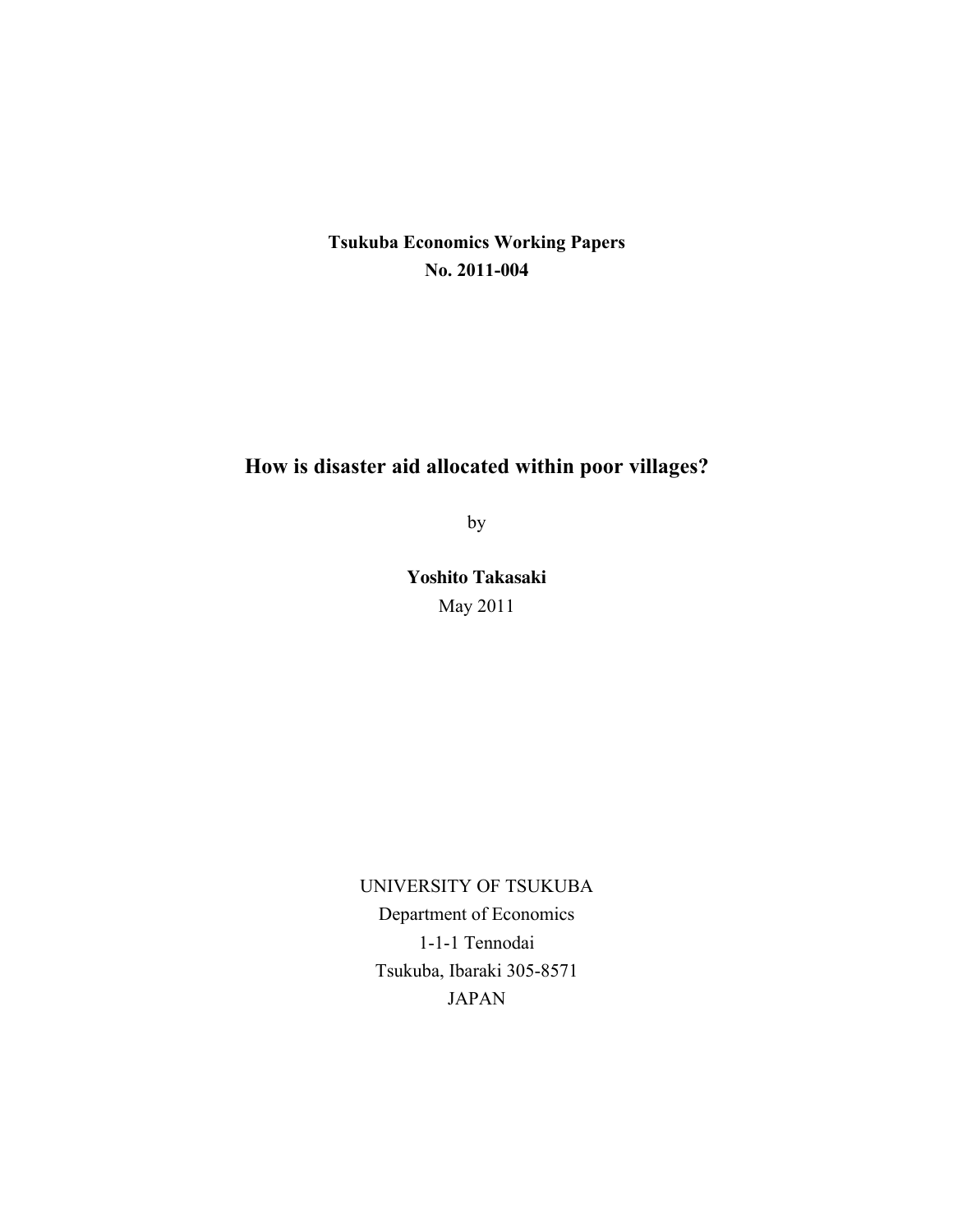## **Tsukuba Economics Working Papers No. 2011-004**

# **How is disaster aid allocated within poor villages?**

by

**Yoshito Takasaki** May 2011

UNIVERSITY OF TSUKUBA Department of Economics 1-1-1 Tennodai Tsukuba, Ibaraki 305-8571 JAPAN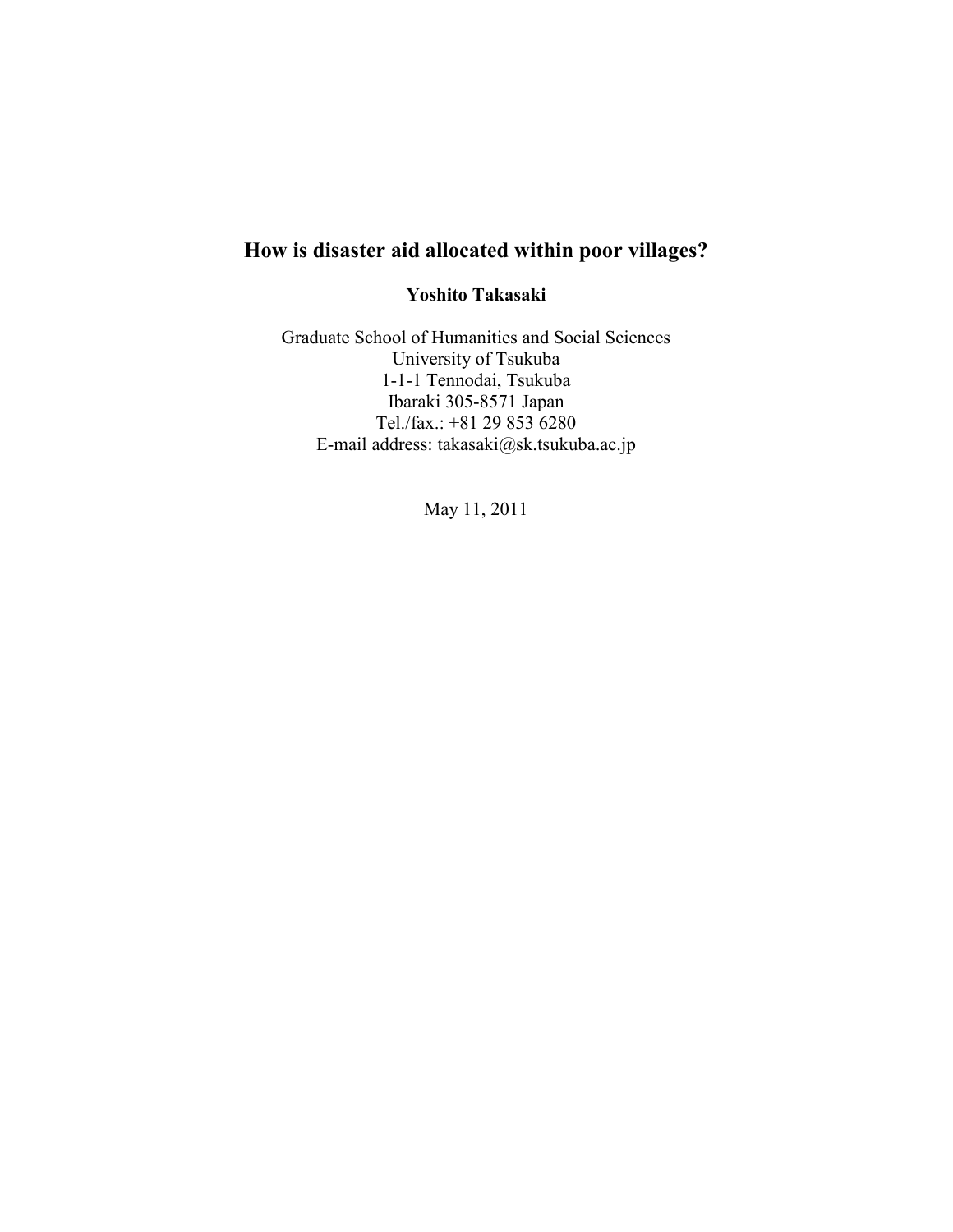# **How is disaster aid allocated within poor villages?**

## **Yoshito Takasaki**

Graduate School of Humanities and Social Sciences University of Tsukuba 1-1-1 Tennodai, Tsukuba Ibaraki 305-8571 Japan Tel./fax.: +81 29 853 6280 E-mail address: takasaki@sk.tsukuba.ac.jp

May 11, 2011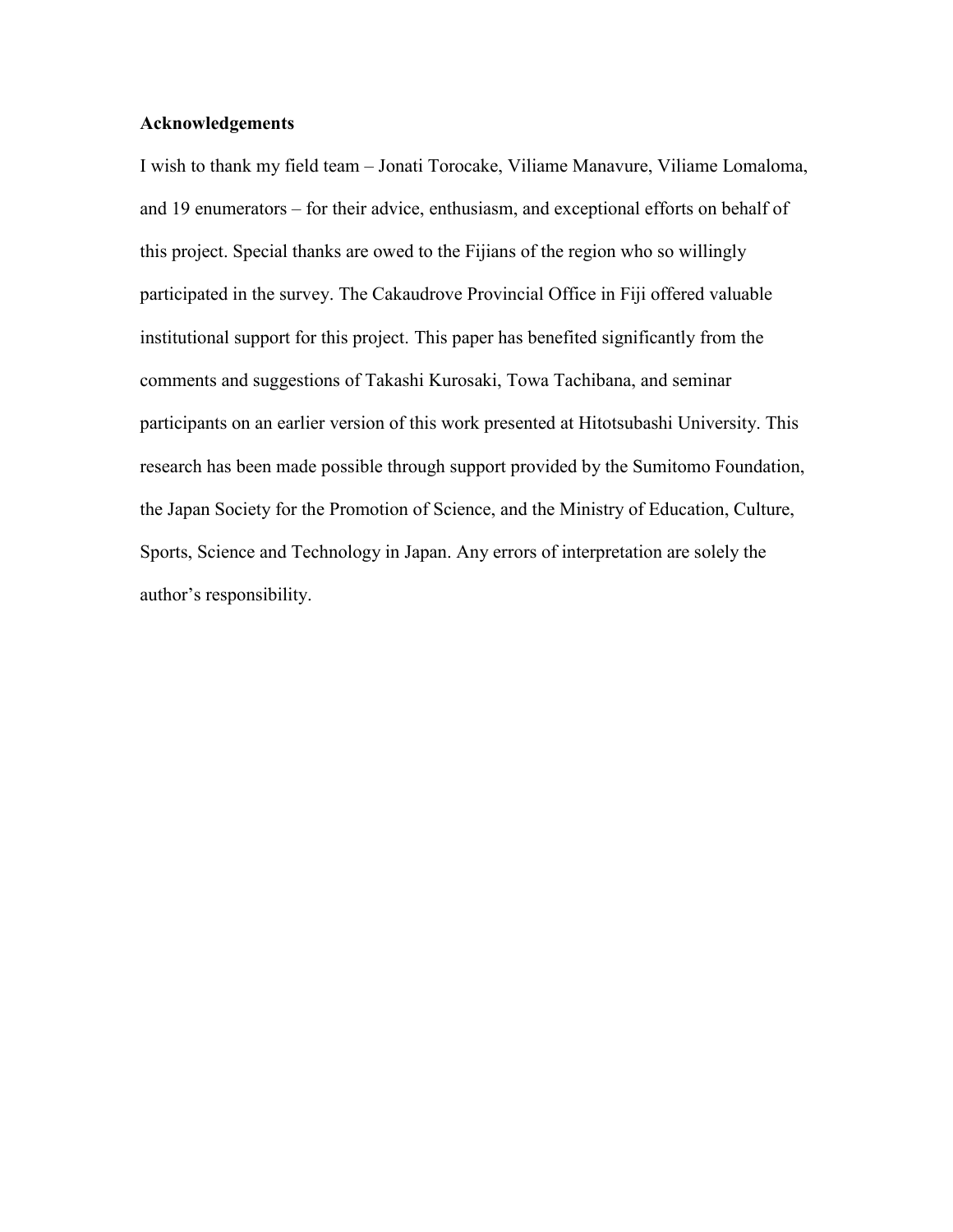## **Acknowledgements**

I wish to thank my field team – Jonati Torocake, Viliame Manavure, Viliame Lomaloma, and 19 enumerators – for their advice, enthusiasm, and exceptional efforts on behalf of this project. Special thanks are owed to the Fijians of the region who so willingly participated in the survey. The Cakaudrove Provincial Office in Fiji offered valuable institutional support for this project. This paper has benefited significantly from the comments and suggestions of Takashi Kurosaki, Towa Tachibana, and seminar participants on an earlier version of this work presented at Hitotsubashi University. This research has been made possible through support provided by the Sumitomo Foundation, the Japan Society for the Promotion of Science, and the Ministry of Education, Culture, Sports, Science and Technology in Japan. Any errors of interpretation are solely the author's responsibility.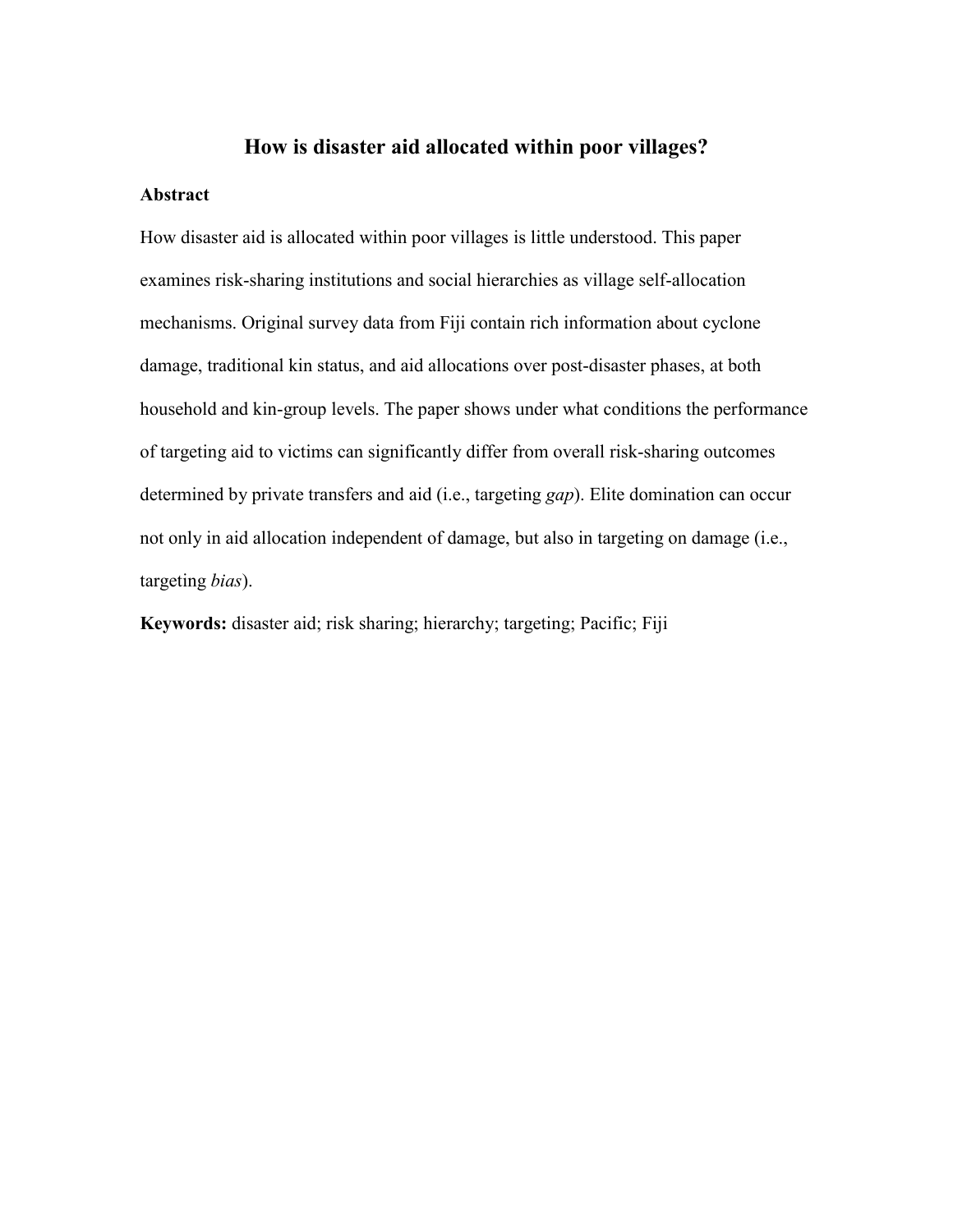## **How is disaster aid allocated within poor villages?**

## **Abstract**

How disaster aid is allocated within poor villages is little understood. This paper examines risk-sharing institutions and social hierarchies as village self-allocation mechanisms. Original survey data from Fiji contain rich information about cyclone damage, traditional kin status, and aid allocations over post-disaster phases, at both household and kin-group levels. The paper shows under what conditions the performance of targeting aid to victims can significantly differ from overall risk-sharing outcomes determined by private transfers and aid (i.e., targeting *gap*). Elite domination can occur not only in aid allocation independent of damage, but also in targeting on damage (i.e., targeting *bias*).

**Keywords:** disaster aid; risk sharing; hierarchy; targeting; Pacific; Fiji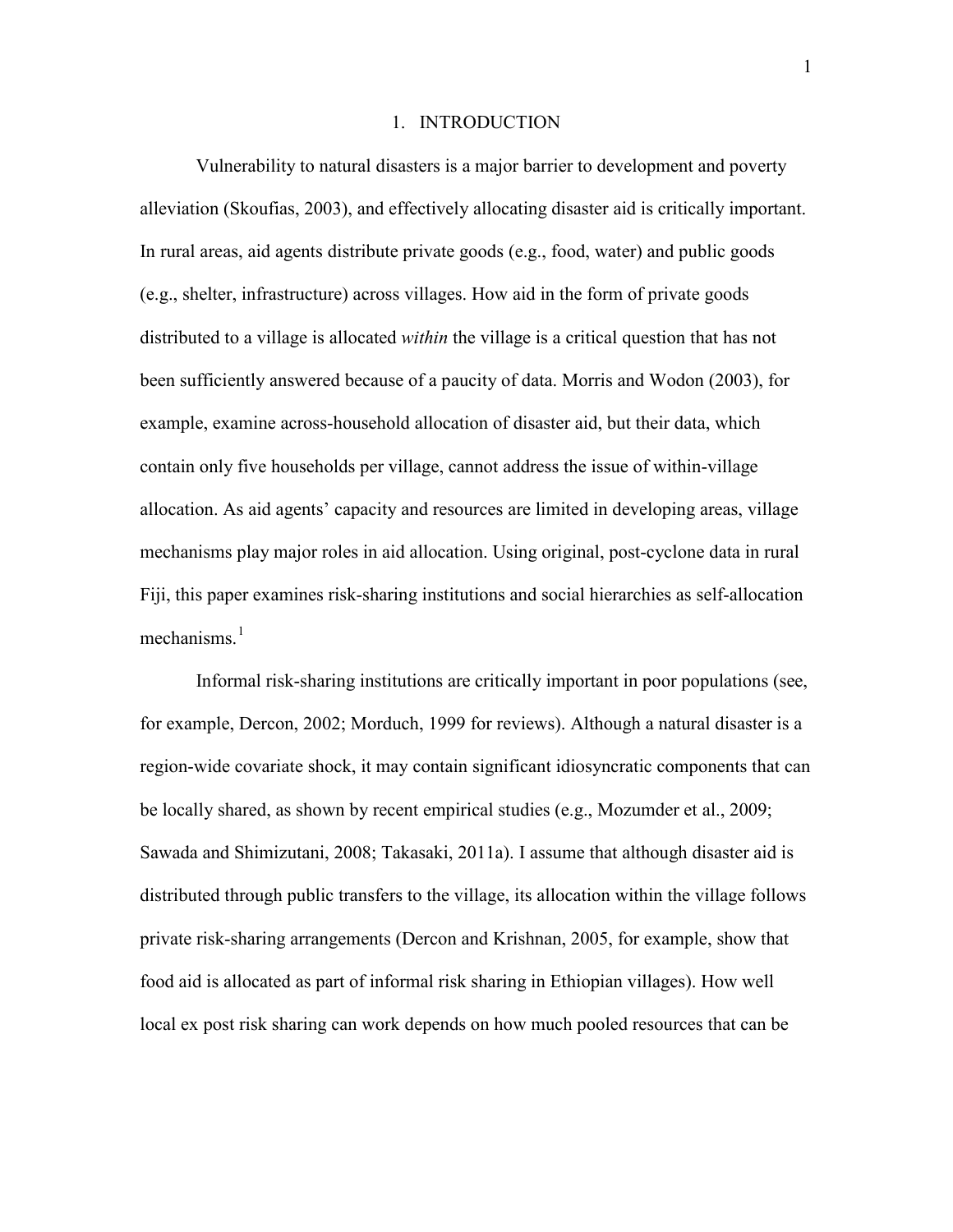#### 1. INTRODUCTION

Vulnerability to natural disasters is a major barrier to development and poverty alleviation (Skoufias, 2003), and effectively allocating disaster aid is critically important. In rural areas, aid agents distribute private goods (e.g., food, water) and public goods (e.g., shelter, infrastructure) across villages. How aid in the form of private goods distributed to a village is allocated *within* the village is a critical question that has not been sufficiently answered because of a paucity of data. Morris and Wodon (2003), for example, examine across-household allocation of disaster aid, but their data, which contain only five households per village, cannot address the issue of within-village allocation. As aid agents' capacity and resources are limited in developing areas, village mechanisms play major roles in aid allocation. Using original, post-cyclone data in rural Fiji, this paper examines risk-sharing institutions and social hierarchies as self-allocation mechanisms. 1

Informal risk-sharing institutions are critically important in poor populations (see, for example, Dercon, 2002; Morduch, 1999 for reviews). Although a natural disaster is a region-wide covariate shock, it may contain significant idiosyncratic components that can be locally shared, as shown by recent empirical studies (e.g., Mozumder et al., 2009; Sawada and Shimizutani, 2008; Takasaki, 2011a). I assume that although disaster aid is distributed through public transfers to the village, its allocation within the village follows private risk-sharing arrangements (Dercon and Krishnan, 2005, for example, show that food aid is allocated as part of informal risk sharing in Ethiopian villages). How well local ex post risk sharing can work depends on how much pooled resources that can be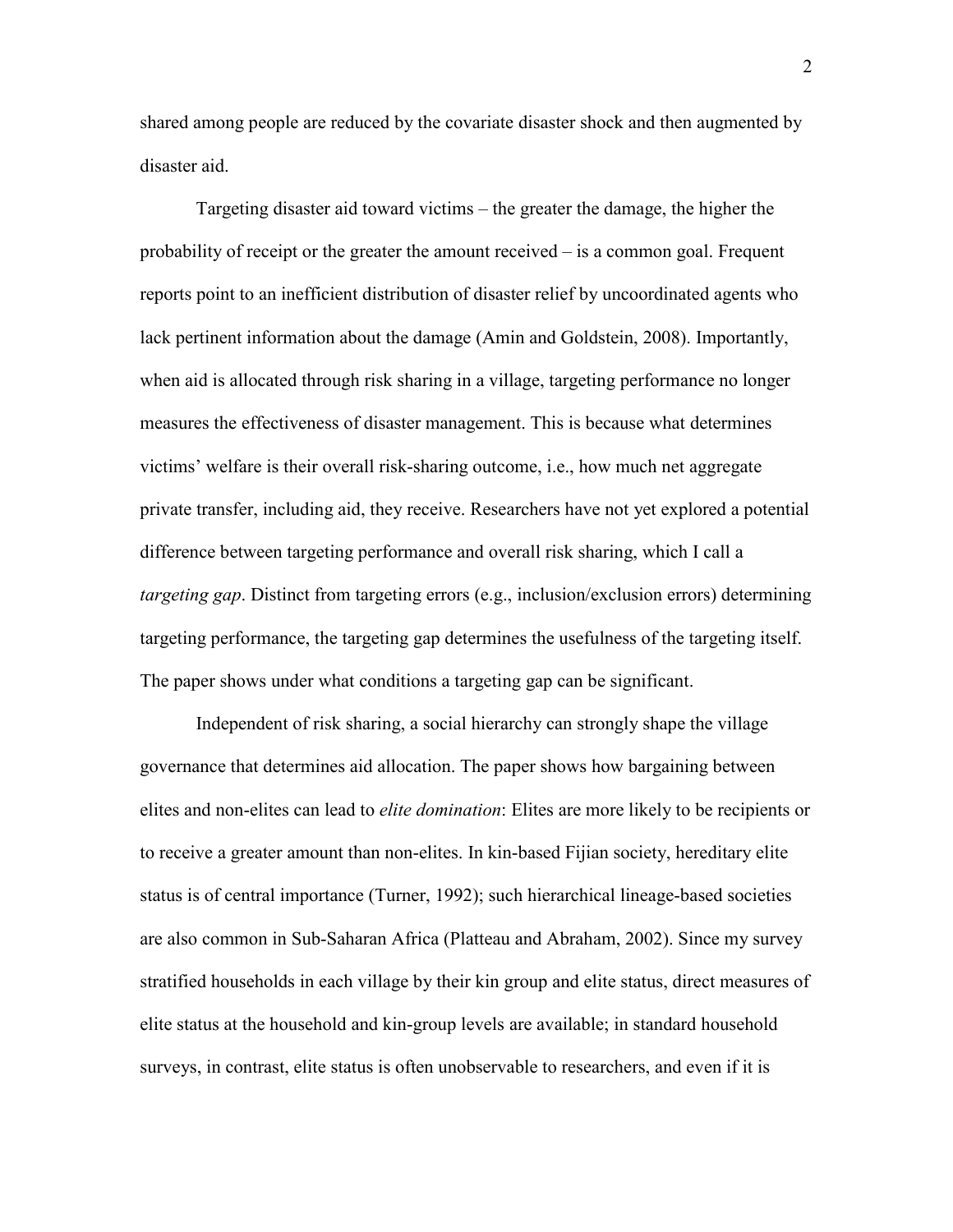shared among people are reduced by the covariate disaster shock and then augmented by disaster aid.

Targeting disaster aid toward victims – the greater the damage, the higher the probability of receipt or the greater the amount received – is a common goal. Frequent reports point to an inefficient distribution of disaster relief by uncoordinated agents who lack pertinent information about the damage (Amin and Goldstein, 2008). Importantly, when aid is allocated through risk sharing in a village, targeting performance no longer measures the effectiveness of disaster management. This is because what determines victims' welfare is their overall risk-sharing outcome, i.e., how much net aggregate private transfer, including aid, they receive. Researchers have not yet explored a potential difference between targeting performance and overall risk sharing, which I call a *targeting gap*. Distinct from targeting errors (e.g., inclusion/exclusion errors) determining targeting performance, the targeting gap determines the usefulness of the targeting itself. The paper shows under what conditions a targeting gap can be significant.

Independent of risk sharing, a social hierarchy can strongly shape the village governance that determines aid allocation. The paper shows how bargaining between elites and non-elites can lead to *elite domination*: Elites are more likely to be recipients or to receive a greater amount than non-elites. In kin-based Fijian society, hereditary elite status is of central importance (Turner, 1992); such hierarchical lineage-based societies are also common in Sub-Saharan Africa (Platteau and Abraham, 2002). Since my survey stratified households in each village by their kin group and elite status, direct measures of elite status at the household and kin-group levels are available; in standard household surveys, in contrast, elite status is often unobservable to researchers, and even if it is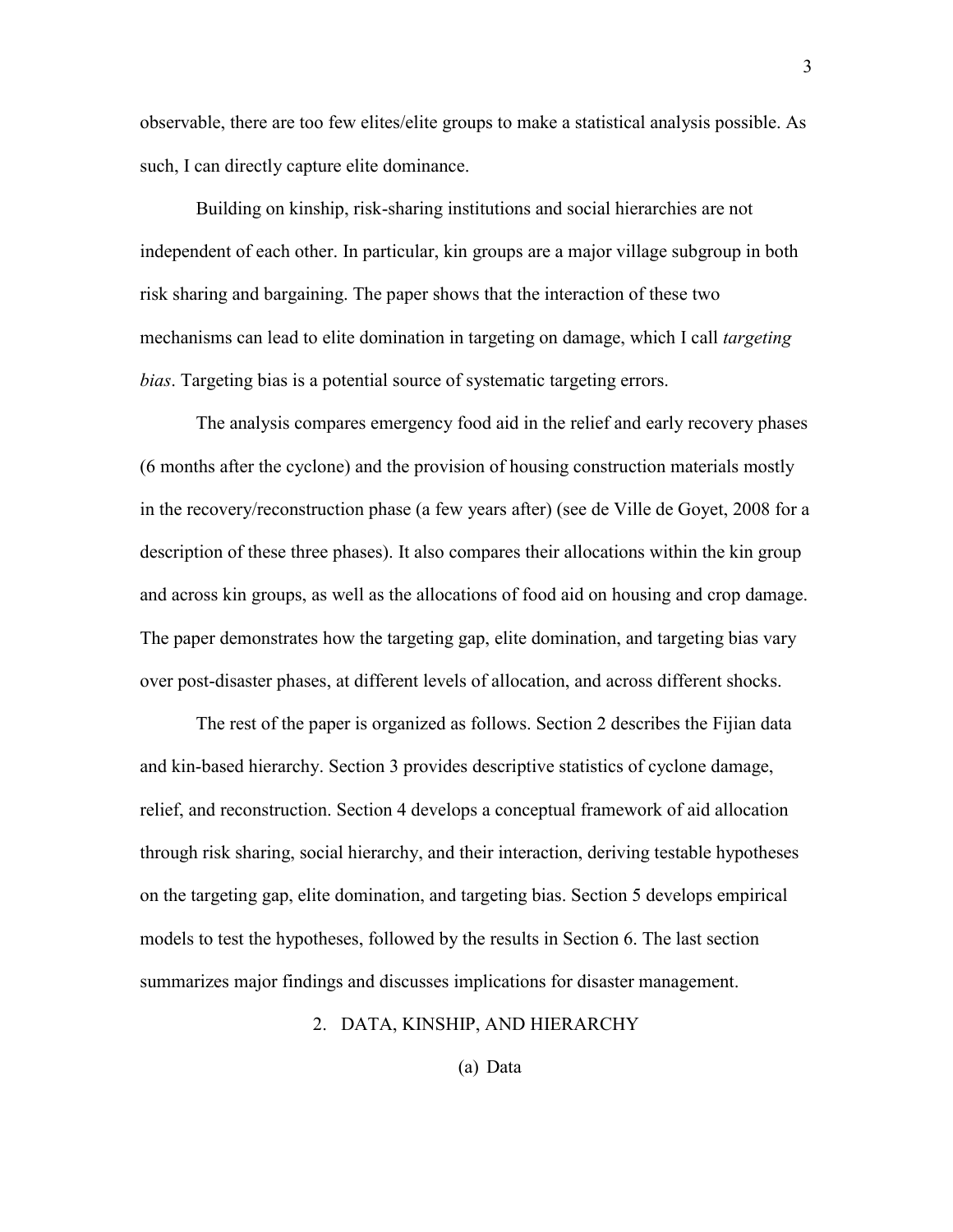observable, there are too few elites/elite groups to make a statistical analysis possible. As such, I can directly capture elite dominance.

Building on kinship, risk-sharing institutions and social hierarchies are not independent of each other. In particular, kin groups are a major village subgroup in both risk sharing and bargaining. The paper shows that the interaction of these two mechanisms can lead to elite domination in targeting on damage, which I call *targeting bias*. Targeting bias is a potential source of systematic targeting errors.

The analysis compares emergency food aid in the relief and early recovery phases (6 months after the cyclone) and the provision of housing construction materials mostly in the recovery/reconstruction phase (a few years after) (see de Ville de Goyet, 2008 for a description of these three phases). It also compares their allocations within the kin group and across kin groups, as well as the allocations of food aid on housing and crop damage. The paper demonstrates how the targeting gap, elite domination, and targeting bias vary over post-disaster phases, at different levels of allocation, and across different shocks.

The rest of the paper is organized as follows. Section 2 describes the Fijian data and kin-based hierarchy. Section 3 provides descriptive statistics of cyclone damage, relief, and reconstruction. Section 4 develops a conceptual framework of aid allocation through risk sharing, social hierarchy, and their interaction, deriving testable hypotheses on the targeting gap, elite domination, and targeting bias. Section 5 develops empirical models to test the hypotheses, followed by the results in Section 6. The last section summarizes major findings and discusses implications for disaster management.

#### 2. DATA, KINSHIP, AND HIERARCHY

(a) Data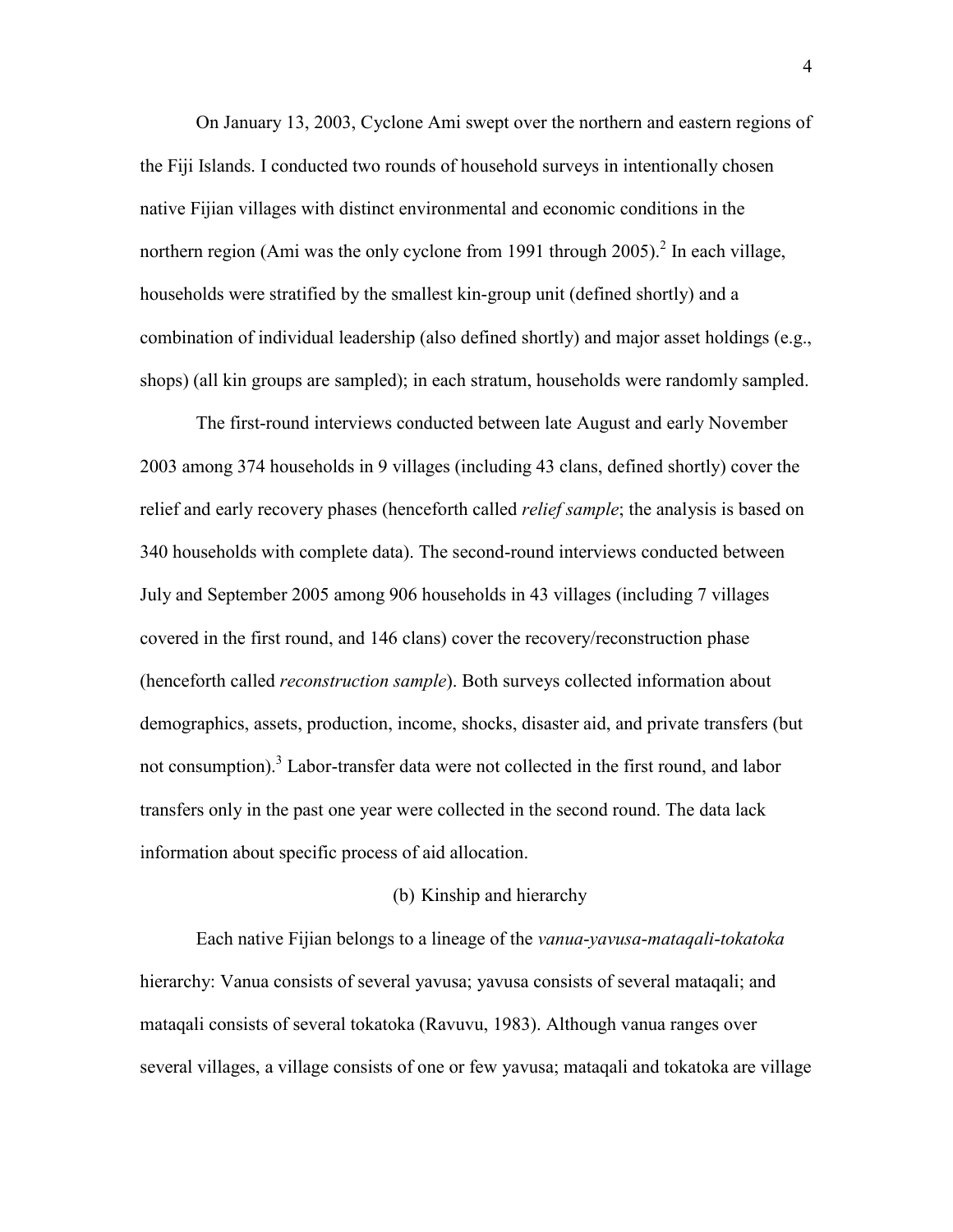On January 13, 2003, Cyclone Ami swept over the northern and eastern regions of the Fiji Islands. I conducted two rounds of household surveys in intentionally chosen native Fijian villages with distinct environmental and economic conditions in the northern region (Ami was the only cyclone from 1991 through 2005).<sup>2</sup> In each village, households were stratified by the smallest kin-group unit (defined shortly) and a combination of individual leadership (also defined shortly) and major asset holdings (e.g., shops) (all kin groups are sampled); in each stratum, households were randomly sampled.

The first-round interviews conducted between late August and early November 2003 among 374 households in 9 villages (including 43 clans, defined shortly) cover the relief and early recovery phases (henceforth called *relief sample*; the analysis is based on 340 households with complete data). The second-round interviews conducted between July and September 2005 among 906 households in 43 villages (including 7 villages covered in the first round, and 146 clans) cover the recovery/reconstruction phase (henceforth called *reconstruction sample*). Both surveys collected information about demographics, assets, production, income, shocks, disaster aid, and private transfers (but not consumption). $3$  Labor-transfer data were not collected in the first round, and labor transfers only in the past one year were collected in the second round. The data lack information about specific process of aid allocation.

#### (b) Kinship and hierarchy

Each native Fijian belongs to a lineage of the *vanua*-*yavusa*-*mataqali*-*tokatoka* hierarchy: Vanua consists of several yavusa; yavusa consists of several mataqali; and mataqali consists of several tokatoka (Ravuvu, 1983). Although vanua ranges over several villages, a village consists of one or few yavusa; mataqali and tokatoka are village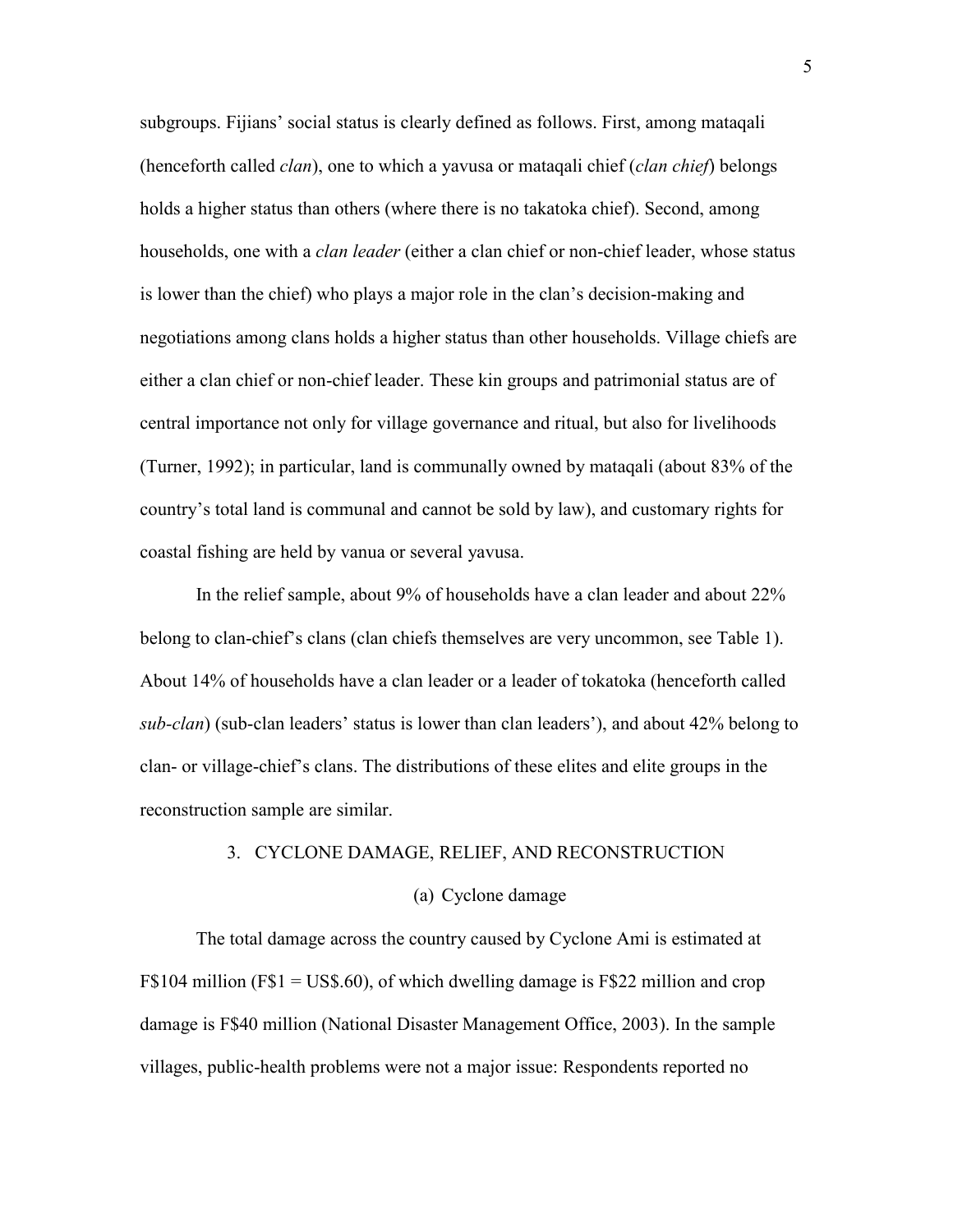subgroups. Fijians' social status is clearly defined as follows. First, among mataqali (henceforth called *clan*), one to which a yavusa or mataqali chief (*clan chief*) belongs holds a higher status than others (where there is no takatoka chief). Second, among households, one with a *clan leader* (either a clan chief or non-chief leader, whose status is lower than the chief) who plays a major role in the clan's decision-making and negotiations among clans holds a higher status than other households. Village chiefs are either a clan chief or non-chief leader. These kin groups and patrimonial status are of central importance not only for village governance and ritual, but also for livelihoods (Turner, 1992); in particular, land is communally owned by mataqali (about 83% of the country's total land is communal and cannot be sold by law), and customary rights for coastal fishing are held by vanua or several yavusa.

In the relief sample, about 9% of households have a clan leader and about 22% belong to clan-chief's clans (clan chiefs themselves are very uncommon, see Table 1). About 14% of households have a clan leader or a leader of tokatoka (henceforth called *sub-clan*) (sub-clan leaders' status is lower than clan leaders'), and about 42% belong to clan- or village-chief's clans. The distributions of these elites and elite groups in the reconstruction sample are similar.

### 3. CYCLONE DAMAGE, RELIEF, AND RECONSTRUCTION

#### (a) Cyclone damage

The total damage across the country caused by Cyclone Ami is estimated at F\$104 million (F\$1 = US\$.60), of which dwelling damage is F\$22 million and crop damage is F\$40 million (National Disaster Management Office, 2003). In the sample villages, public-health problems were not a major issue: Respondents reported no

5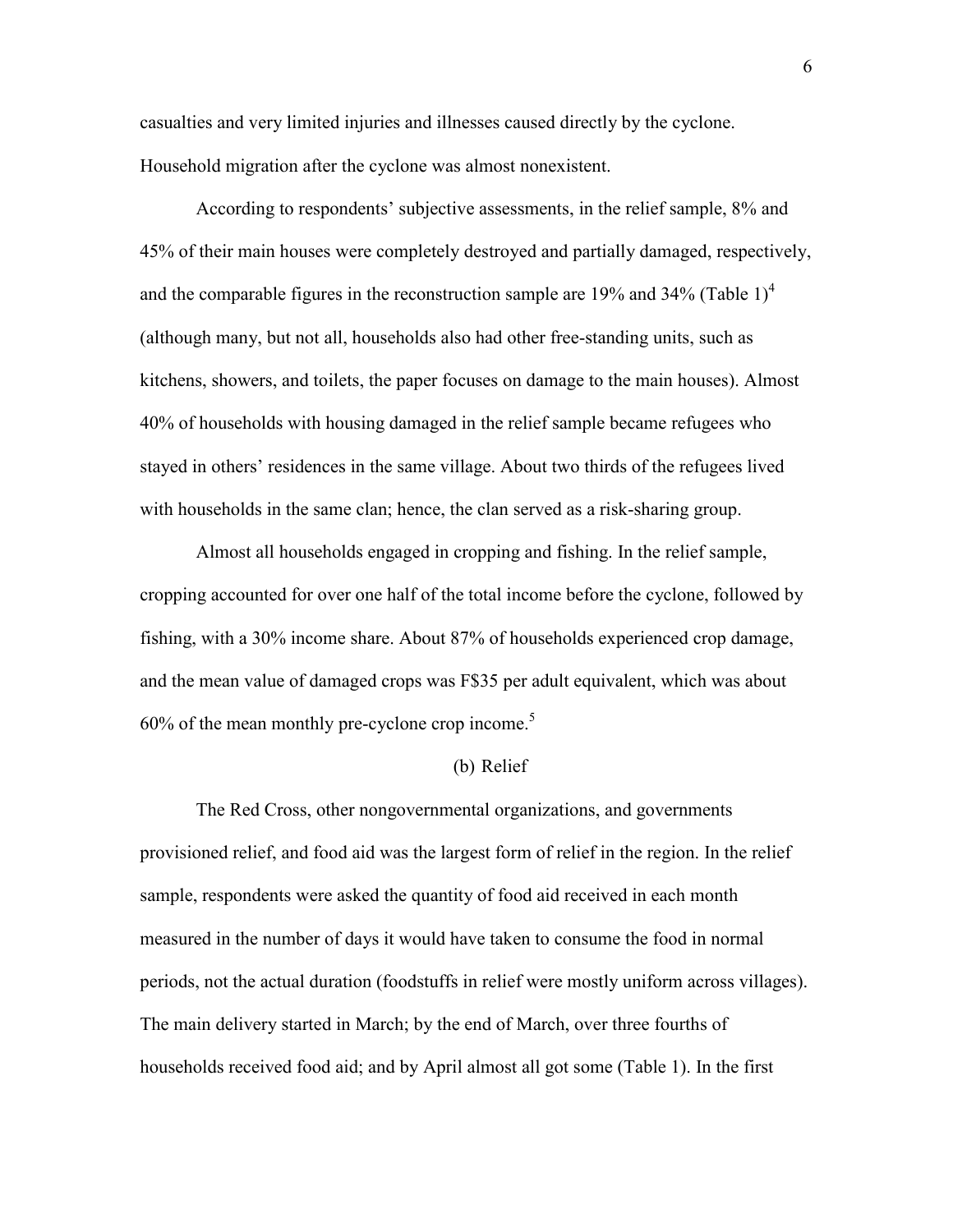casualties and very limited injuries and illnesses caused directly by the cyclone. Household migration after the cyclone was almost nonexistent.

According to respondents' subjective assessments, in the relief sample, 8% and 45% of their main houses were completely destroyed and partially damaged, respectively, and the comparable figures in the reconstruction sample are  $19\%$  and  $34\%$  (Table 1)<sup>4</sup> (although many, but not all, households also had other free-standing units, such as kitchens, showers, and toilets, the paper focuses on damage to the main houses). Almost 40% of households with housing damaged in the relief sample became refugees who stayed in others' residences in the same village. About two thirds of the refugees lived with households in the same clan; hence, the clan served as a risk-sharing group.

Almost all households engaged in cropping and fishing. In the relief sample, cropping accounted for over one half of the total income before the cyclone, followed by fishing, with a 30% income share. About 87% of households experienced crop damage, and the mean value of damaged crops was F\$35 per adult equivalent, which was about 60% of the mean monthly pre-cyclone crop income. 5

## (b) Relief

The Red Cross, other nongovernmental organizations, and governments provisioned relief, and food aid was the largest form of relief in the region. In the relief sample, respondents were asked the quantity of food aid received in each month measured in the number of days it would have taken to consume the food in normal periods, not the actual duration (foodstuffs in relief were mostly uniform across villages). The main delivery started in March; by the end of March, over three fourths of households received food aid; and by April almost all got some (Table 1). In the first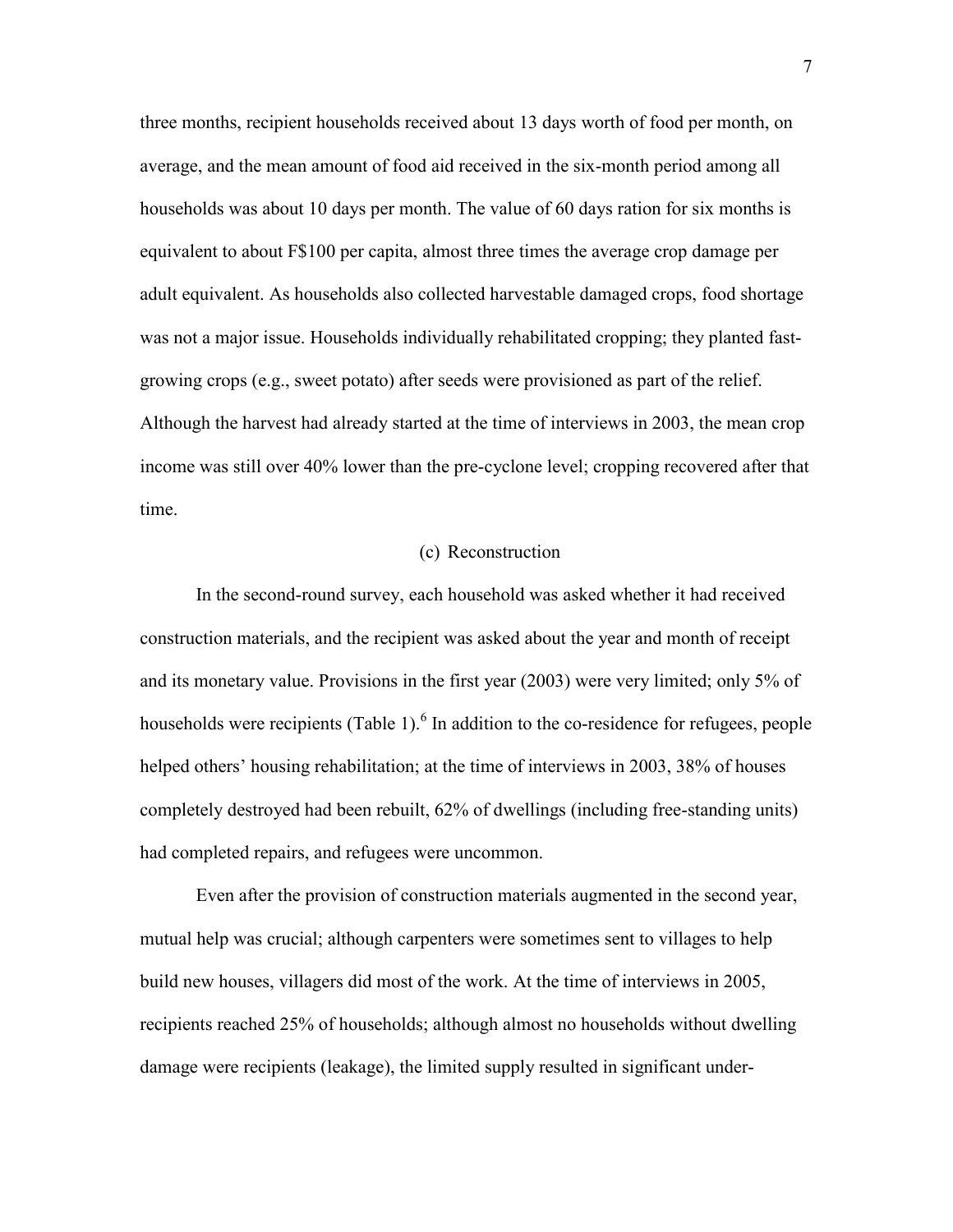three months, recipient households received about 13 days worth of food per month, on average, and the mean amount of food aid received in the six-month period among all households was about 10 days per month. The value of 60 days ration for six months is equivalent to about F\$100 per capita, almost three times the average crop damage per adult equivalent. As households also collected harvestable damaged crops, food shortage was not a major issue. Households individually rehabilitated cropping; they planted fastgrowing crops (e.g., sweet potato) after seeds were provisioned as part of the relief. Although the harvest had already started at the time of interviews in 2003, the mean crop income was still over 40% lower than the pre-cyclone level; cropping recovered after that time.

## (c) Reconstruction

In the second-round survey, each household was asked whether it had received construction materials, and the recipient was asked about the year and month of receipt and its monetary value. Provisions in the first year (2003) were very limited; only 5% of households were recipients (Table 1).<sup>6</sup> In addition to the co-residence for refugees, people helped others' housing rehabilitation; at the time of interviews in 2003, 38% of houses completely destroyed had been rebuilt, 62% of dwellings (including free-standing units) had completed repairs, and refugees were uncommon.

Even after the provision of construction materials augmented in the second year, mutual help was crucial; although carpenters were sometimes sent to villages to help build new houses, villagers did most of the work. At the time of interviews in 2005, recipients reached 25% of households; although almost no households without dwelling damage were recipients (leakage), the limited supply resulted in significant under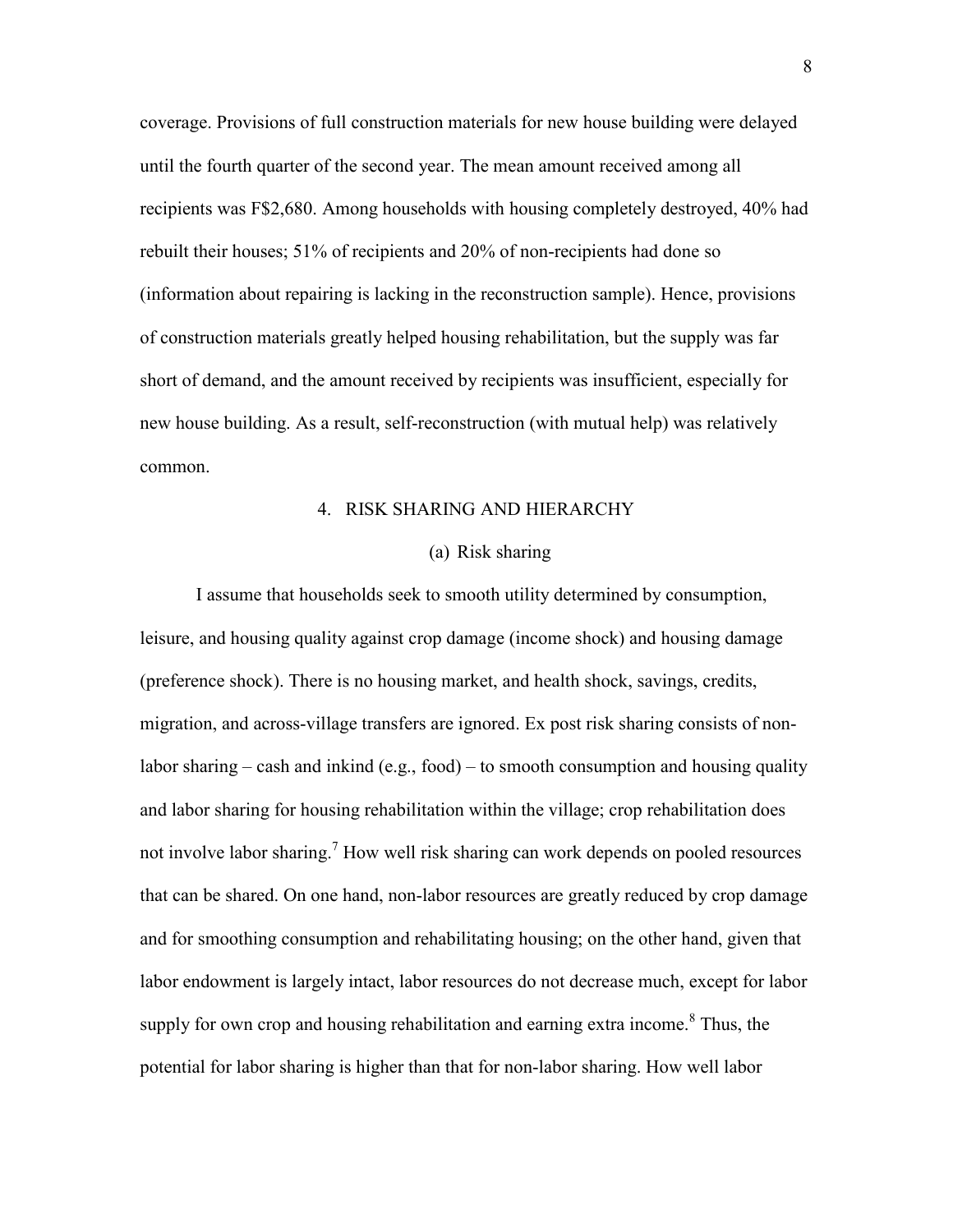coverage. Provisions of full construction materials for new house building were delayed until the fourth quarter of the second year. The mean amount received among all recipients was F\$2,680. Among households with housing completely destroyed, 40% had rebuilt their houses; 51% of recipients and 20% of non-recipients had done so (information about repairing is lacking in the reconstruction sample). Hence, provisions of construction materials greatly helped housing rehabilitation, but the supply was far short of demand, and the amount received by recipients was insufficient, especially for new house building. As a result, self-reconstruction (with mutual help) was relatively common.

#### 4. RISK SHARING AND HIERARCHY

#### (a) Risk sharing

I assume that households seek to smooth utility determined by consumption, leisure, and housing quality against crop damage (income shock) and housing damage (preference shock). There is no housing market, and health shock, savings, credits, migration, and across-village transfers are ignored. Ex post risk sharing consists of nonlabor sharing – cash and inkind (e.g., food) – to smooth consumption and housing quality and labor sharing for housing rehabilitation within the village; crop rehabilitation does not involve labor sharing.<sup>7</sup> How well risk sharing can work depends on pooled resources that can be shared. On one hand, non-labor resources are greatly reduced by crop damage and for smoothing consumption and rehabilitating housing; on the other hand, given that labor endowment is largely intact, labor resources do not decrease much, except for labor supply for own crop and housing rehabilitation and earning extra income.<sup>8</sup> Thus, the potential for labor sharing is higher than that for non-labor sharing. How well labor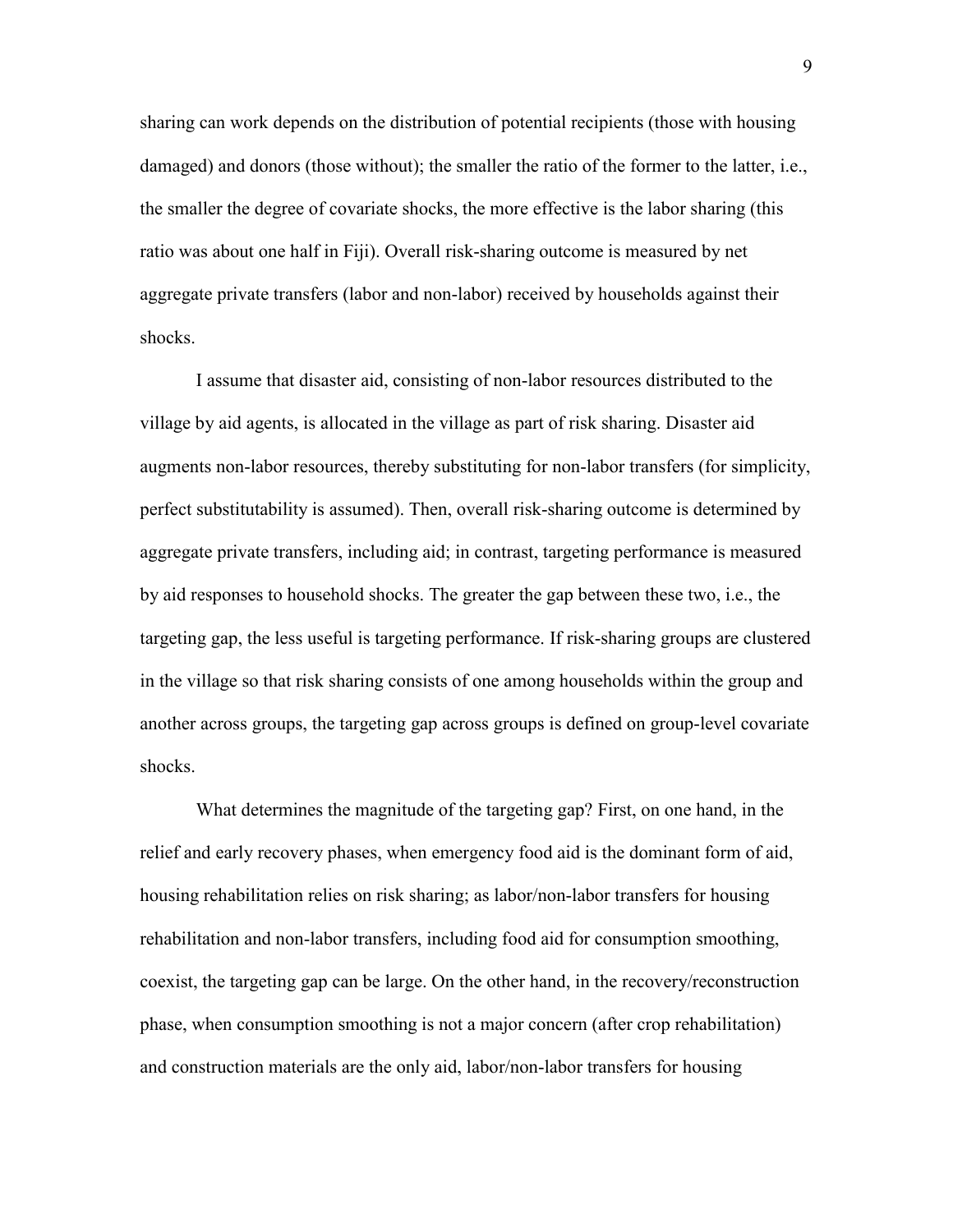sharing can work depends on the distribution of potential recipients (those with housing damaged) and donors (those without); the smaller the ratio of the former to the latter, i.e., the smaller the degree of covariate shocks, the more effective is the labor sharing (this ratio was about one half in Fiji). Overall risk-sharing outcome is measured by net aggregate private transfers (labor and non-labor) received by households against their shocks.

I assume that disaster aid, consisting of non-labor resources distributed to the village by aid agents, is allocated in the village as part of risk sharing. Disaster aid augments non-labor resources, thereby substituting for non-labor transfers (for simplicity, perfect substitutability is assumed). Then, overall risk-sharing outcome is determined by aggregate private transfers, including aid; in contrast, targeting performance is measured by aid responses to household shocks. The greater the gap between these two, i.e., the targeting gap, the less useful is targeting performance. If risk-sharing groups are clustered in the village so that risk sharing consists of one among households within the group and another across groups, the targeting gap across groups is defined on group-level covariate shocks.

What determines the magnitude of the targeting gap? First, on one hand, in the relief and early recovery phases, when emergency food aid is the dominant form of aid, housing rehabilitation relies on risk sharing; as labor/non-labor transfers for housing rehabilitation and non-labor transfers, including food aid for consumption smoothing, coexist, the targeting gap can be large. On the other hand, in the recovery/reconstruction phase, when consumption smoothing is not a major concern (after crop rehabilitation) and construction materials are the only aid, labor/non-labor transfers for housing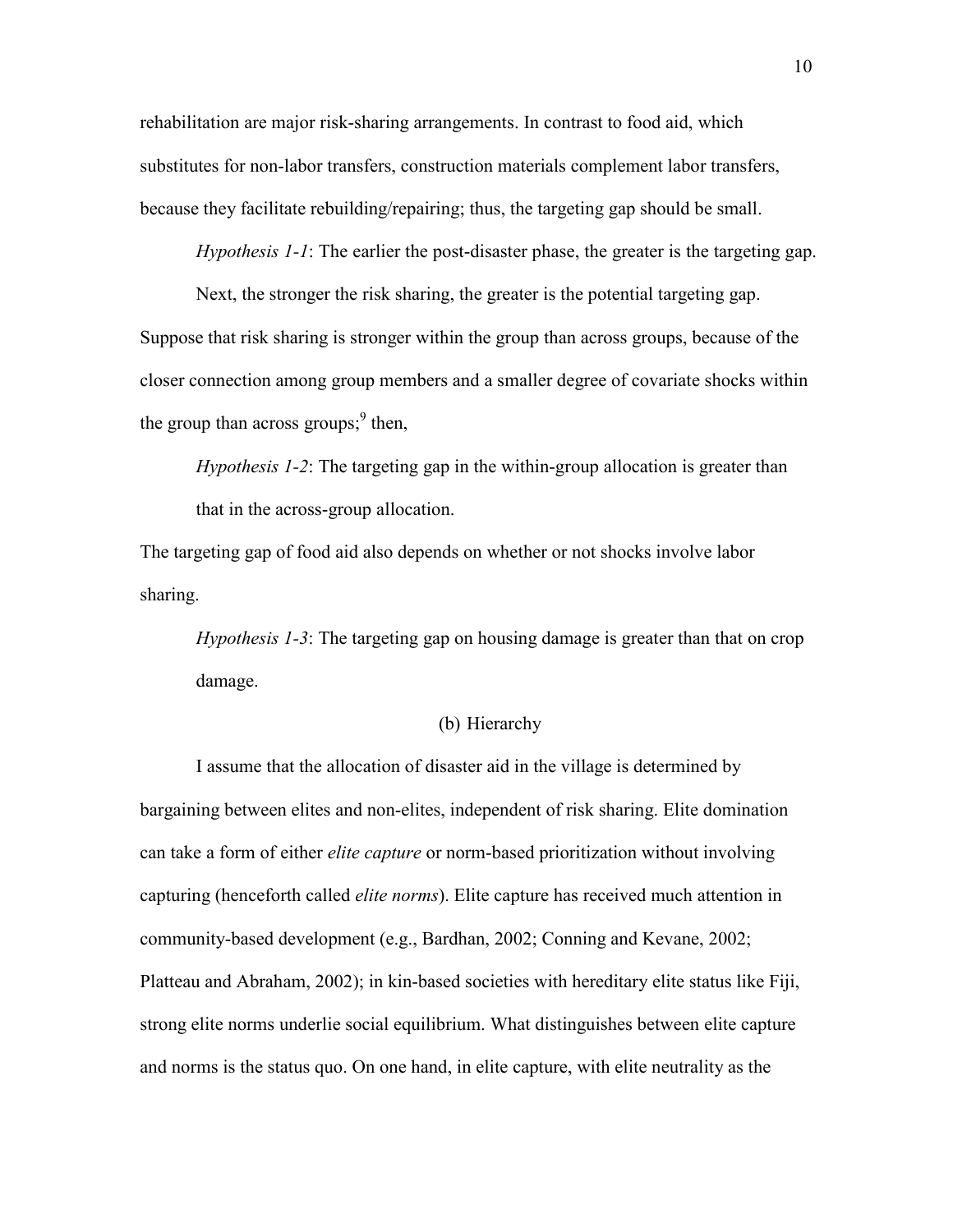rehabilitation are major risk-sharing arrangements. In contrast to food aid, which substitutes for non-labor transfers, construction materials complement labor transfers, because they facilitate rebuilding/repairing; thus, the targeting gap should be small.

*Hypothesis 1-1*: The earlier the post-disaster phase, the greater is the targeting gap.

Next, the stronger the risk sharing, the greater is the potential targeting gap. Suppose that risk sharing is stronger within the group than across groups, because of the closer connection among group members and a smaller degree of covariate shocks within the group than across groups; $9^9$  then,

*Hypothesis 1-2*: The targeting gap in the within-group allocation is greater than that in the across-group allocation.

The targeting gap of food aid also depends on whether or not shocks involve labor sharing.

*Hypothesis 1-3*: The targeting gap on housing damage is greater than that on crop damage.

## (b) Hierarchy

I assume that the allocation of disaster aid in the village is determined by bargaining between elites and non-elites, independent of risk sharing. Elite domination can take a form of either *elite capture* or norm-based prioritization without involving capturing (henceforth called *elite norms*). Elite capture has received much attention in community-based development (e.g., Bardhan, 2002; Conning and Kevane, 2002; Platteau and Abraham, 2002); in kin-based societies with hereditary elite status like Fiji, strong elite norms underlie social equilibrium. What distinguishes between elite capture and norms is the status quo. On one hand, in elite capture, with elite neutrality as the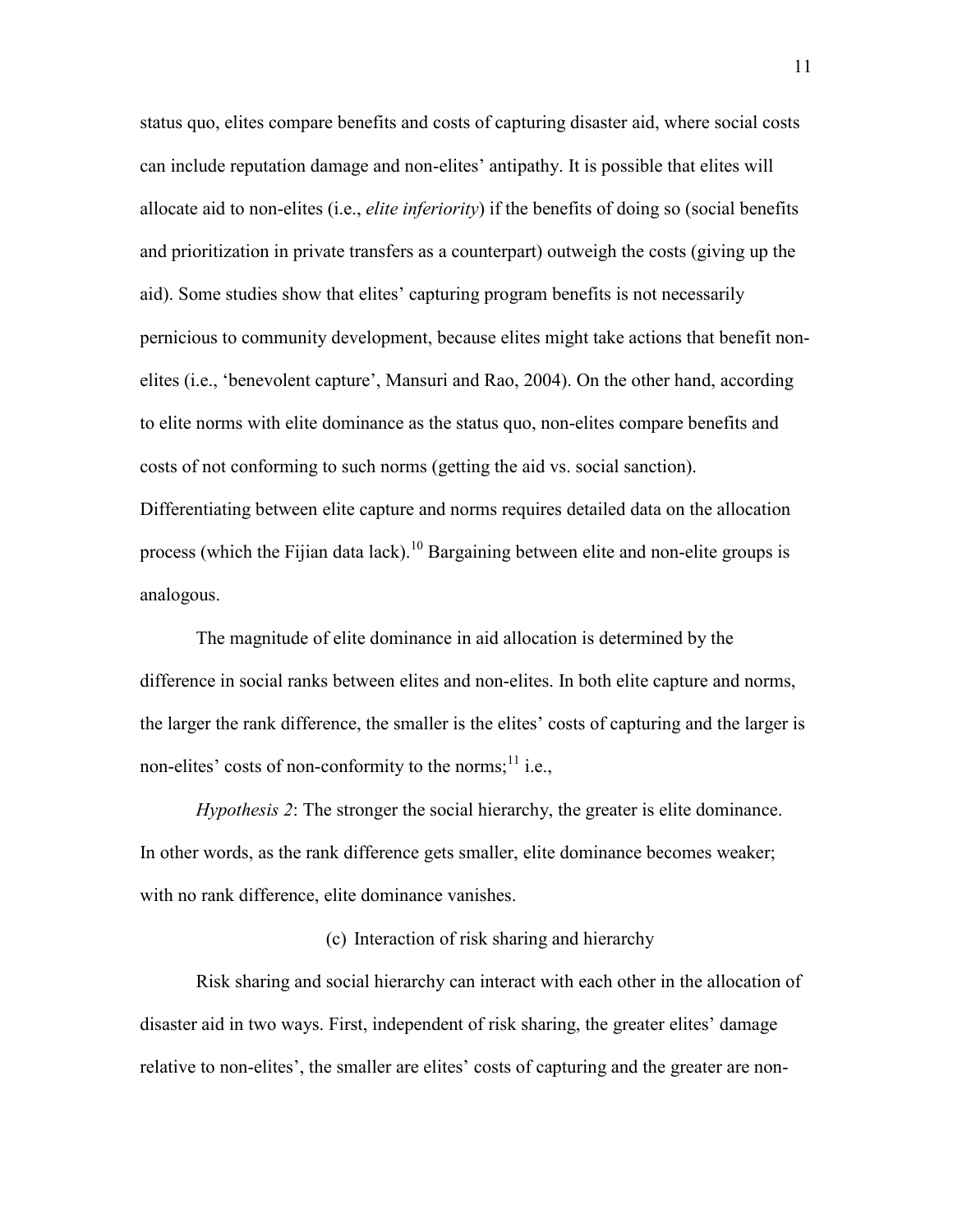status quo, elites compare benefits and costs of capturing disaster aid, where social costs can include reputation damage and non-elites' antipathy. It is possible that elites will allocate aid to non-elites (i.e., *elite inferiority*) if the benefits of doing so (social benefits and prioritization in private transfers as a counterpart) outweigh the costs (giving up the aid). Some studies show that elites' capturing program benefits is not necessarily pernicious to community development, because elites might take actions that benefit nonelites (i.e., 'benevolent capture', Mansuri and Rao, 2004). On the other hand, according to elite norms with elite dominance as the status quo, non-elites compare benefits and costs of not conforming to such norms (getting the aid vs. social sanction). Differentiating between elite capture and norms requires detailed data on the allocation process (which the Fijian data lack).<sup>10</sup> Bargaining between elite and non-elite groups is

analogous.

The magnitude of elite dominance in aid allocation is determined by the difference in social ranks between elites and non-elites. In both elite capture and norms, the larger the rank difference, the smaller is the elites' costs of capturing and the larger is non-elites' costs of non-conformity to the norms;  $\frac{11}{1}$  i.e.,

*Hypothesis 2*: The stronger the social hierarchy, the greater is elite dominance. In other words, as the rank difference gets smaller, elite dominance becomes weaker; with no rank difference, elite dominance vanishes.

## (c) Interaction of risk sharing and hierarchy

Risk sharing and social hierarchy can interact with each other in the allocation of disaster aid in two ways. First, independent of risk sharing, the greater elites' damage relative to non-elites', the smaller are elites' costs of capturing and the greater are non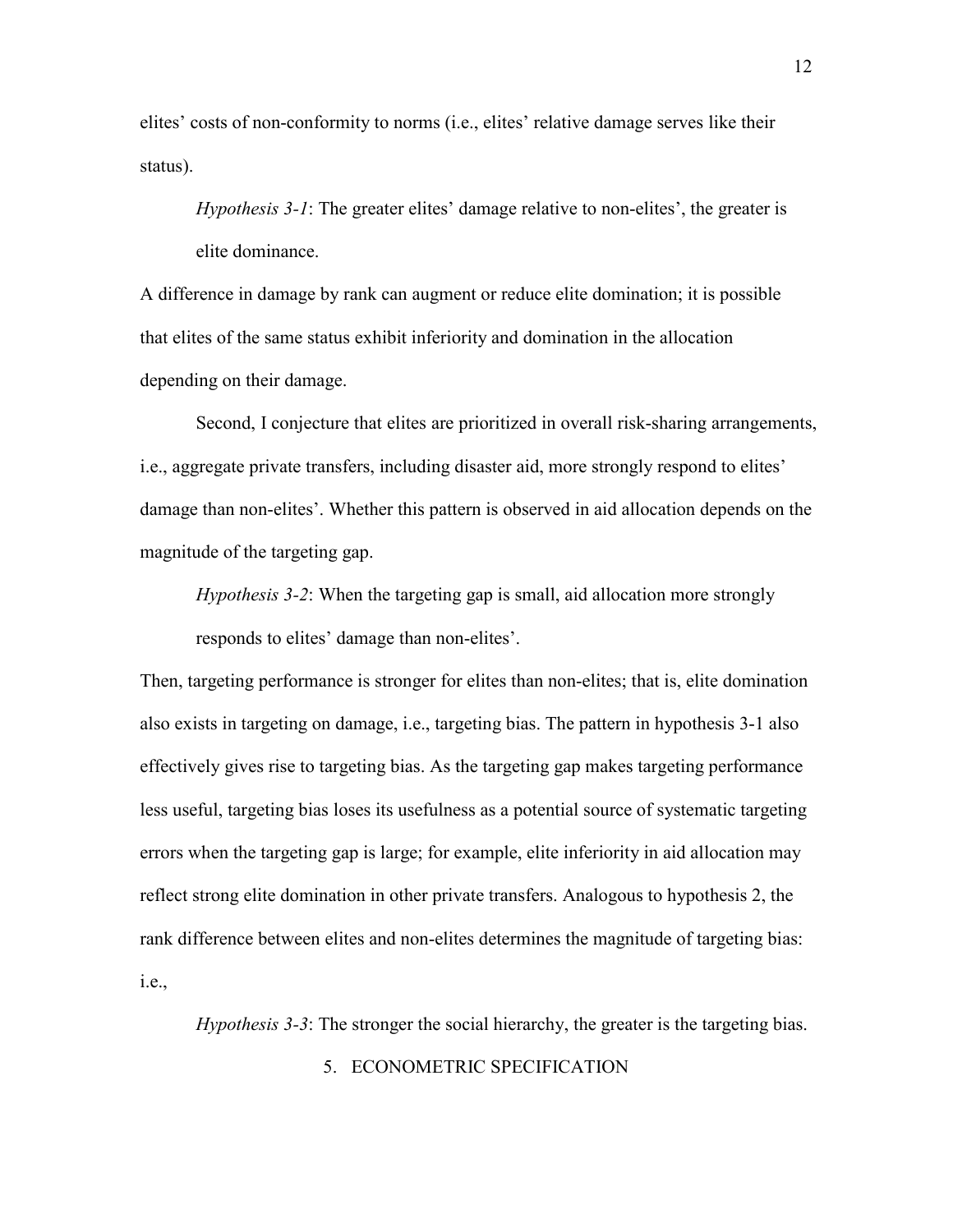elites' costs of non-conformity to norms (i.e., elites' relative damage serves like their status).

*Hypothesis 3-1*: The greater elites' damage relative to non-elites', the greater is elite dominance.

A difference in damage by rank can augment or reduce elite domination; it is possible that elites of the same status exhibit inferiority and domination in the allocation depending on their damage.

Second, I conjecture that elites are prioritized in overall risk-sharing arrangements, i.e., aggregate private transfers, including disaster aid, more strongly respond to elites' damage than non-elites'. Whether this pattern is observed in aid allocation depends on the magnitude of the targeting gap.

*Hypothesis 3-2*: When the targeting gap is small, aid allocation more strongly responds to elites' damage than non-elites'.

Then, targeting performance is stronger for elites than non-elites; that is, elite domination also exists in targeting on damage, i.e., targeting bias. The pattern in hypothesis 3-1 also effectively gives rise to targeting bias. As the targeting gap makes targeting performance less useful, targeting bias loses its usefulness as a potential source of systematic targeting errors when the targeting gap is large; for example, elite inferiority in aid allocation may reflect strong elite domination in other private transfers. Analogous to hypothesis 2, the rank difference between elites and non-elites determines the magnitude of targeting bias: i.e.,

*Hypothesis 3-3*: The stronger the social hierarchy, the greater is the targeting bias.

5. ECONOMETRIC SPECIFICATION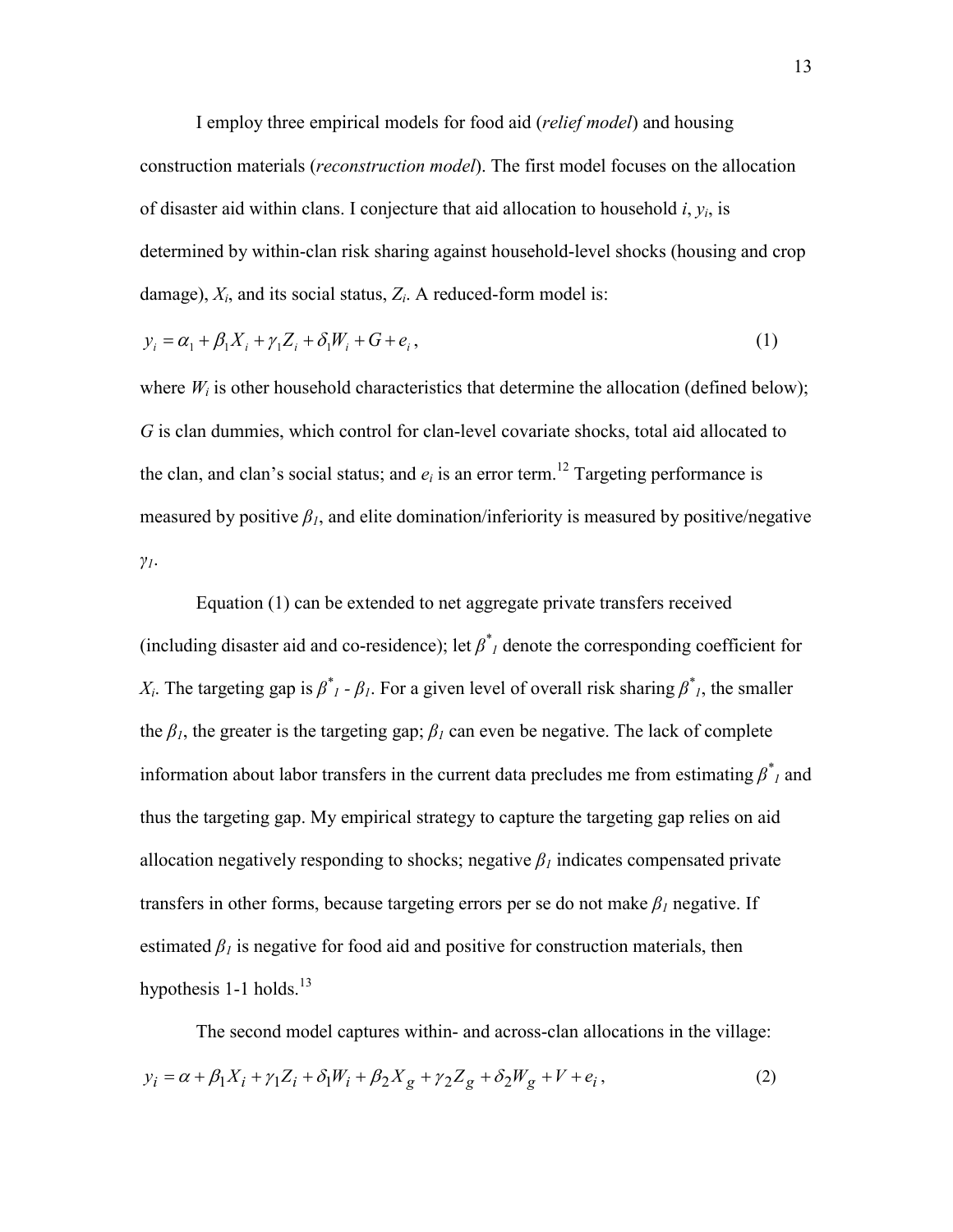I employ three empirical models for food aid (*relief model*) and housing construction materials (*reconstruction model*). The first model focuses on the allocation of disaster aid within clans. I conjecture that aid allocation to household *i*, *yi*, is determined by within-clan risk sharing against household-level shocks (housing and crop damage), *Xi*, and its social status, *Zi*. A reduced-form model is:

$$
y_i = \alpha_1 + \beta_1 X_i + \gamma_1 Z_i + \delta_1 W_i + G + e_i, \tag{1}
$$

where  $W_i$  is other household characteristics that determine the allocation (defined below); *G* is clan dummies, which control for clan-level covariate shocks, total aid allocated to the clan, and clan's social status; and  $e_i$  is an error term.<sup>12</sup> Targeting performance is measured by positive  $\beta_l$ , and elite domination/inferiority is measured by positive/negative  $\gamma$ <sub>1</sub>.

Equation (1) can be extended to net aggregate private transfers received (including disaster aid and co-residence); let  $\beta^*$  denote the corresponding coefficient for *X<sub>i</sub>*. The targeting gap is  $\beta^*$  *-*  $\beta$ *<sub>1</sub>*. For a given level of overall risk sharing  $\beta^*$  *i*, the smaller the  $\beta_l$ , the greater is the targeting gap;  $\beta_l$  can even be negative. The lack of complete information about labor transfers in the current data precludes me from estimating  $\beta^*$ <sub>*l*</sub> and thus the targeting gap. My empirical strategy to capture the targeting gap relies on aid allocation negatively responding to shocks; negative  $\beta_l$  indicates compensated private transfers in other forms, because targeting errors per se do not make  $\beta$ <sup>*l*</sup> negative. If estimated  $\beta_l$  is negative for food aid and positive for construction materials, then hypothesis 1-1 holds.<sup>13</sup>

The second model captures within- and across-clan allocations in the village:  $y_i = \alpha + \beta_1 X_i + \gamma_1 Z_i + \delta_1 W_i + \beta_2 X_g + \gamma_2 Z_g + \delta_2 W_g + V + e_i,$  (2)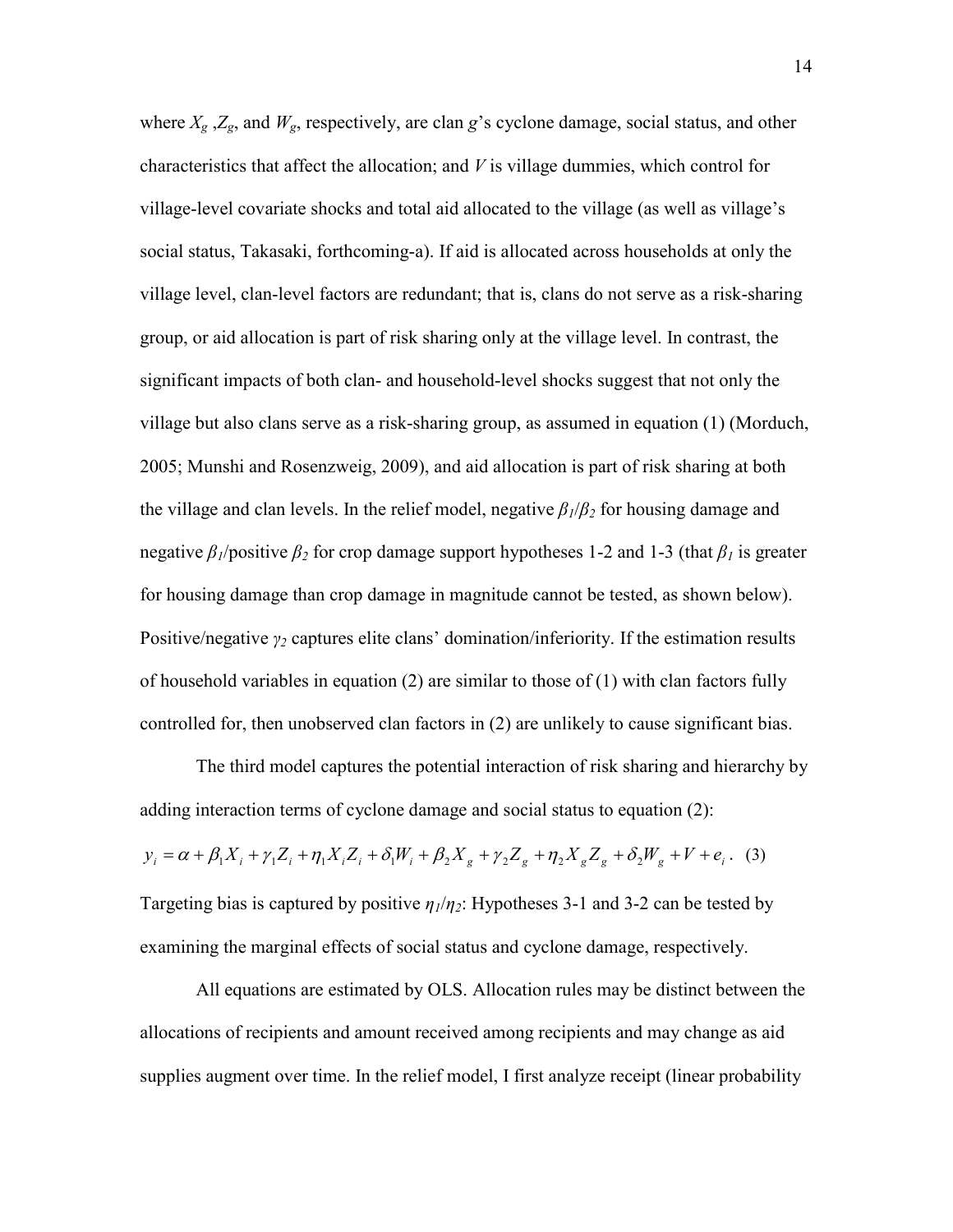where  $X_g$ ,  $Z_g$ , and  $W_g$ , respectively, are clan *g*'s cyclone damage, social status, and other characteristics that affect the allocation; and *V* is village dummies, which control for village-level covariate shocks and total aid allocated to the village (as well as village's social status, Takasaki, forthcoming-a). If aid is allocated across households at only the village level, clan-level factors are redundant; that is, clans do not serve as a risk-sharing group, or aid allocation is part of risk sharing only at the village level. In contrast, the significant impacts of both clan- and household-level shocks suggest that not only the village but also clans serve as a risk-sharing group, as assumed in equation (1) (Morduch, 2005; Munshi and Rosenzweig, 2009), and aid allocation is part of risk sharing at both the village and clan levels. In the relief model, negative  $\beta_l/\beta_2$  for housing damage and negative  $\beta_1$ /positive  $\beta_2$  for crop damage support hypotheses 1-2 and 1-3 (that  $\beta_1$  is greater for housing damage than crop damage in magnitude cannot be tested, as shown below). Positive/negative  $\gamma_2$  captures elite clans' domination/inferiority. If the estimation results of household variables in equation (2) are similar to those of (1) with clan factors fully controlled for, then unobserved clan factors in (2) are unlikely to cause significant bias.

The third model captures the potential interaction of risk sharing and hierarchy by adding interaction terms of cyclone damage and social status to equation (2):

$$
y_i = \alpha + \beta_1 X_i + \gamma_1 Z_i + \eta_1 X_i Z_i + \delta_1 W_i + \beta_2 X_g + \gamma_2 Z_g + \eta_2 X_g Z_g + \delta_2 W_g + V + e_i. \tag{3}
$$

Targeting bias is captured by positive  $\eta_1/\eta_2$ : Hypotheses 3-1 and 3-2 can be tested by examining the marginal effects of social status and cyclone damage, respectively.

All equations are estimated by OLS. Allocation rules may be distinct between the allocations of recipients and amount received among recipients and may change as aid supplies augment over time. In the relief model, I first analyze receipt (linear probability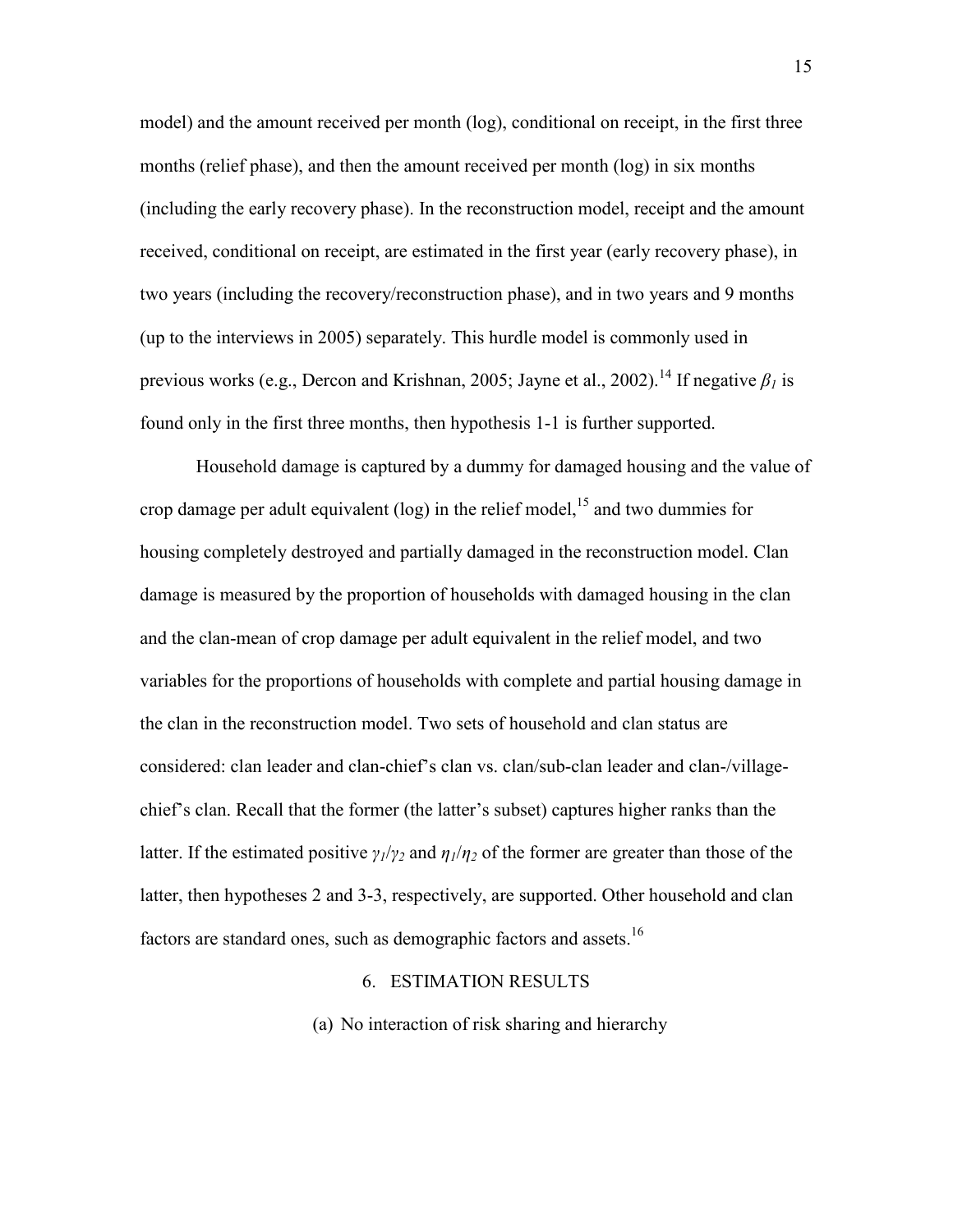model) and the amount received per month (log), conditional on receipt, in the first three months (relief phase), and then the amount received per month (log) in six months (including the early recovery phase). In the reconstruction model, receipt and the amount received, conditional on receipt, are estimated in the first year (early recovery phase), in two years (including the recovery/reconstruction phase), and in two years and 9 months (up to the interviews in 2005) separately. This hurdle model is commonly used in previous works (e.g., Dercon and Krishnan, 2005; Jayne et al., 2002).<sup>14</sup> If negative  $\beta_l$  is found only in the first three months, then hypothesis 1-1 is further supported.

Household damage is captured by a dummy for damaged housing and the value of crop damage per adult equivalent ( $log$ ) in the relief model,  $^{15}$  and two dummies for housing completely destroyed and partially damaged in the reconstruction model. Clan damage is measured by the proportion of households with damaged housing in the clan and the clan-mean of crop damage per adult equivalent in the relief model, and two variables for the proportions of households with complete and partial housing damage in the clan in the reconstruction model. Two sets of household and clan status are considered: clan leader and clan-chief's clan vs. clan/sub-clan leader and clan-/villagechief's clan. Recall that the former (the latter's subset) captures higher ranks than the latter. If the estimated positive  $\gamma_1/\gamma_2$  and  $\eta_1/\eta_2$  of the former are greater than those of the latter, then hypotheses 2 and 3-3, respectively, are supported. Other household and clan factors are standard ones, such as demographic factors and assets.<sup>16</sup>

## 6. ESTIMATION RESULTS

(a) No interaction of risk sharing and hierarchy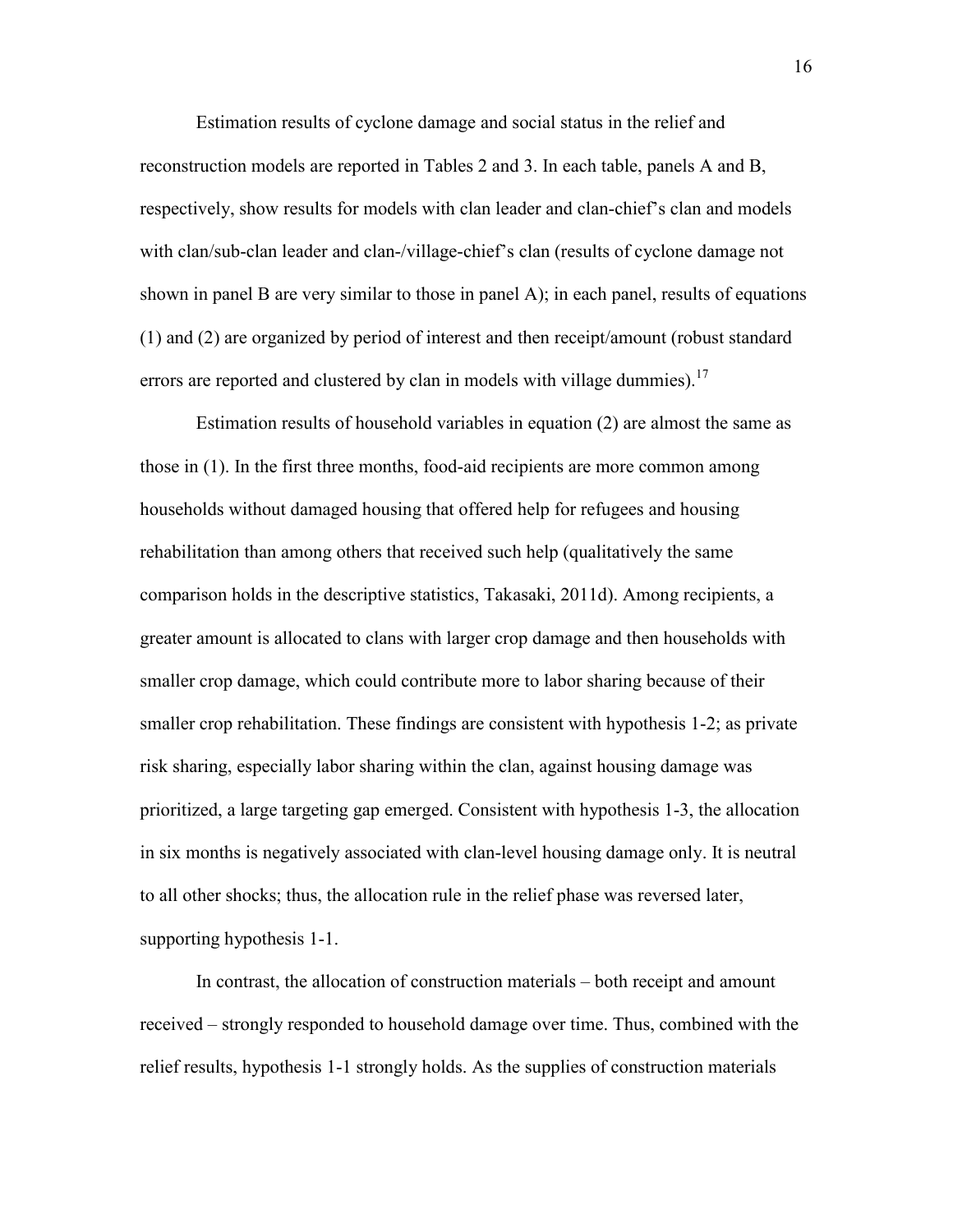Estimation results of cyclone damage and social status in the relief and reconstruction models are reported in Tables 2 and 3. In each table, panels A and B, respectively, show results for models with clan leader and clan-chief's clan and models with clan/sub-clan leader and clan-/village-chief's clan (results of cyclone damage not shown in panel B are very similar to those in panel A); in each panel, results of equations (1) and (2) are organized by period of interest and then receipt/amount (robust standard errors are reported and clustered by clan in models with village dummies).<sup>17</sup>

Estimation results of household variables in equation (2) are almost the same as those in (1). In the first three months, food-aid recipients are more common among households without damaged housing that offered help for refugees and housing rehabilitation than among others that received such help (qualitatively the same comparison holds in the descriptive statistics, Takasaki, 2011d). Among recipients, a greater amount is allocated to clans with larger crop damage and then households with smaller crop damage, which could contribute more to labor sharing because of their smaller crop rehabilitation. These findings are consistent with hypothesis 1-2; as private risk sharing, especially labor sharing within the clan, against housing damage was prioritized, a large targeting gap emerged. Consistent with hypothesis 1-3, the allocation in six months is negatively associated with clan-level housing damage only. It is neutral to all other shocks; thus, the allocation rule in the relief phase was reversed later, supporting hypothesis 1-1.

In contrast, the allocation of construction materials – both receipt and amount received – strongly responded to household damage over time. Thus, combined with the relief results, hypothesis 1-1 strongly holds. As the supplies of construction materials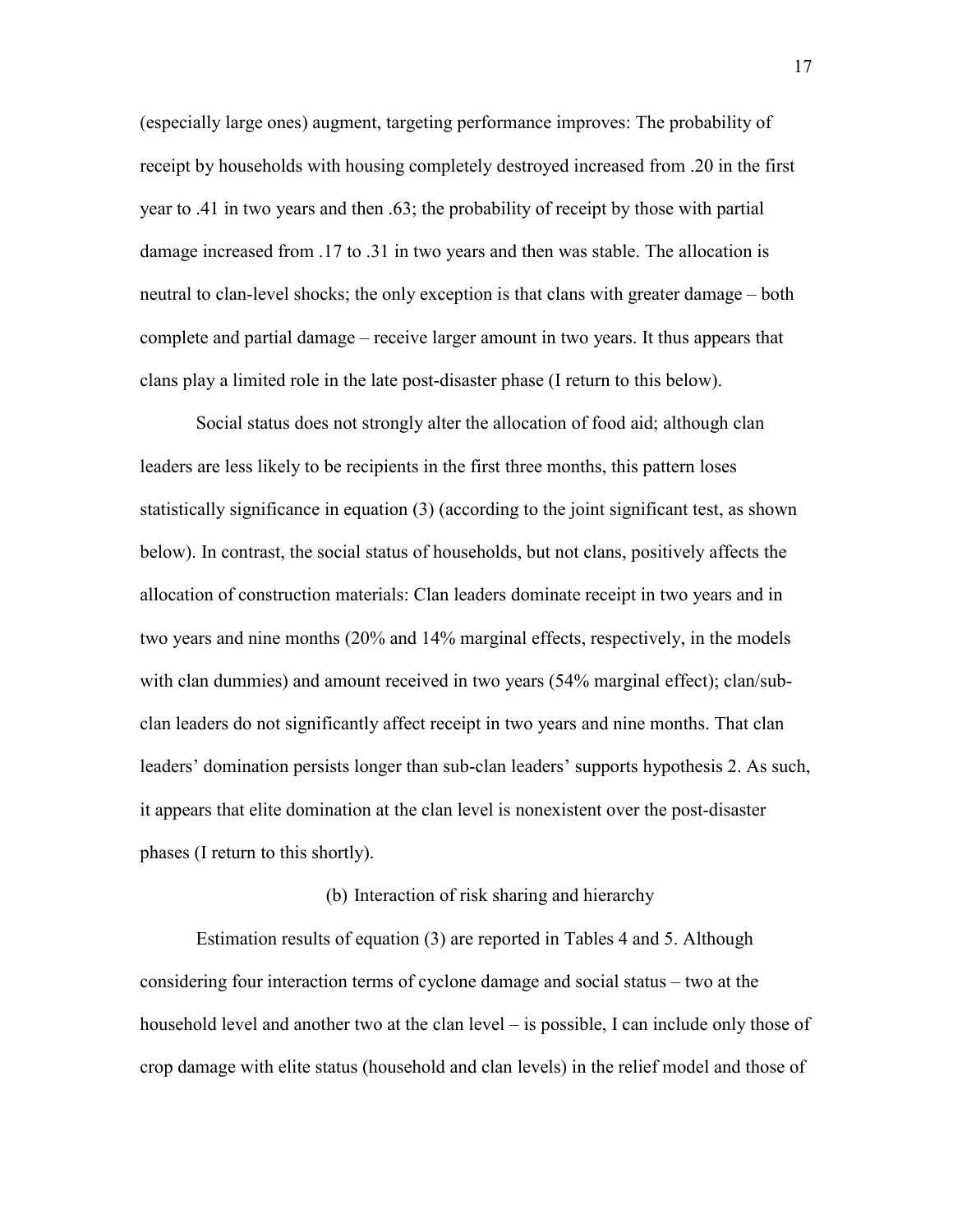(especially large ones) augment, targeting performance improves: The probability of receipt by households with housing completely destroyed increased from .20 in the first year to .41 in two years and then .63; the probability of receipt by those with partial damage increased from .17 to .31 in two years and then was stable. The allocation is neutral to clan-level shocks; the only exception is that clans with greater damage – both complete and partial damage – receive larger amount in two years. It thus appears that clans play a limited role in the late post-disaster phase (I return to this below).

Social status does not strongly alter the allocation of food aid; although clan leaders are less likely to be recipients in the first three months, this pattern loses statistically significance in equation (3) (according to the joint significant test, as shown below). In contrast, the social status of households, but not clans, positively affects the allocation of construction materials: Clan leaders dominate receipt in two years and in two years and nine months (20% and 14% marginal effects, respectively, in the models with clan dummies) and amount received in two years (54% marginal effect); clan/subclan leaders do not significantly affect receipt in two years and nine months. That clan leaders' domination persists longer than sub-clan leaders' supports hypothesis 2. As such, it appears that elite domination at the clan level is nonexistent over the post-disaster phases (I return to this shortly).

### (b) Interaction of risk sharing and hierarchy

Estimation results of equation (3) are reported in Tables 4 and 5. Although considering four interaction terms of cyclone damage and social status – two at the household level and another two at the clan level – is possible, I can include only those of crop damage with elite status (household and clan levels) in the relief model and those of

17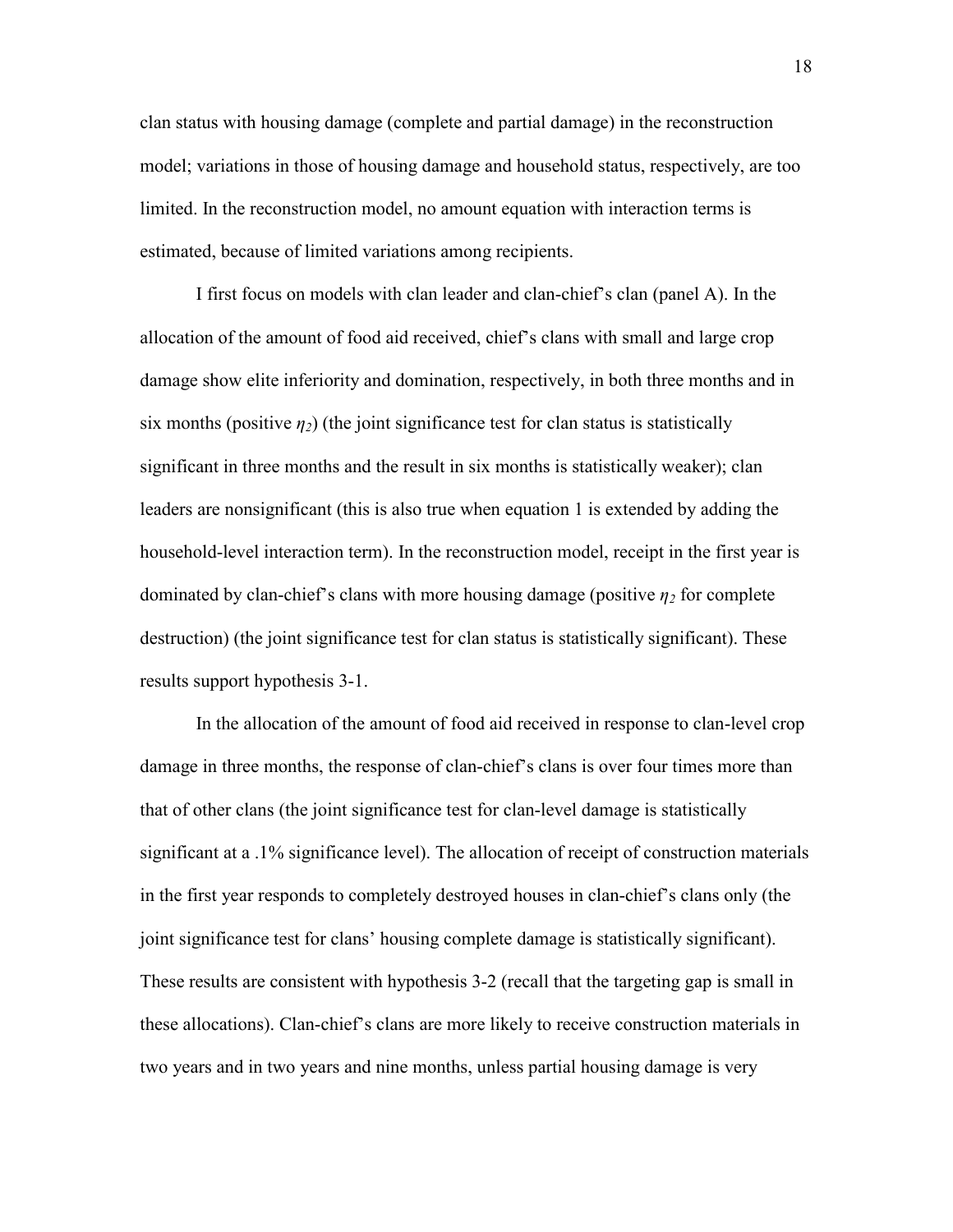clan status with housing damage (complete and partial damage) in the reconstruction model; variations in those of housing damage and household status, respectively, are too limited. In the reconstruction model, no amount equation with interaction terms is estimated, because of limited variations among recipients.

I first focus on models with clan leader and clan-chief's clan (panel A). In the allocation of the amount of food aid received, chief's clans with small and large crop damage show elite inferiority and domination, respectively, in both three months and in six months (positive  $\eta_2$ ) (the joint significance test for clan status is statistically significant in three months and the result in six months is statistically weaker); clan leaders are nonsignificant (this is also true when equation 1 is extended by adding the household-level interaction term). In the reconstruction model, receipt in the first year is dominated by clan-chief's clans with more housing damage (positive  $\eta_2$  for complete destruction) (the joint significance test for clan status is statistically significant). These results support hypothesis 3-1.

In the allocation of the amount of food aid received in response to clan-level crop damage in three months, the response of clan-chief's clans is over four times more than that of other clans (the joint significance test for clan-level damage is statistically significant at a .1% significance level). The allocation of receipt of construction materials in the first year responds to completely destroyed houses in clan-chief's clans only (the joint significance test for clans' housing complete damage is statistically significant). These results are consistent with hypothesis 3-2 (recall that the targeting gap is small in these allocations). Clan-chief's clans are more likely to receive construction materials in two years and in two years and nine months, unless partial housing damage is very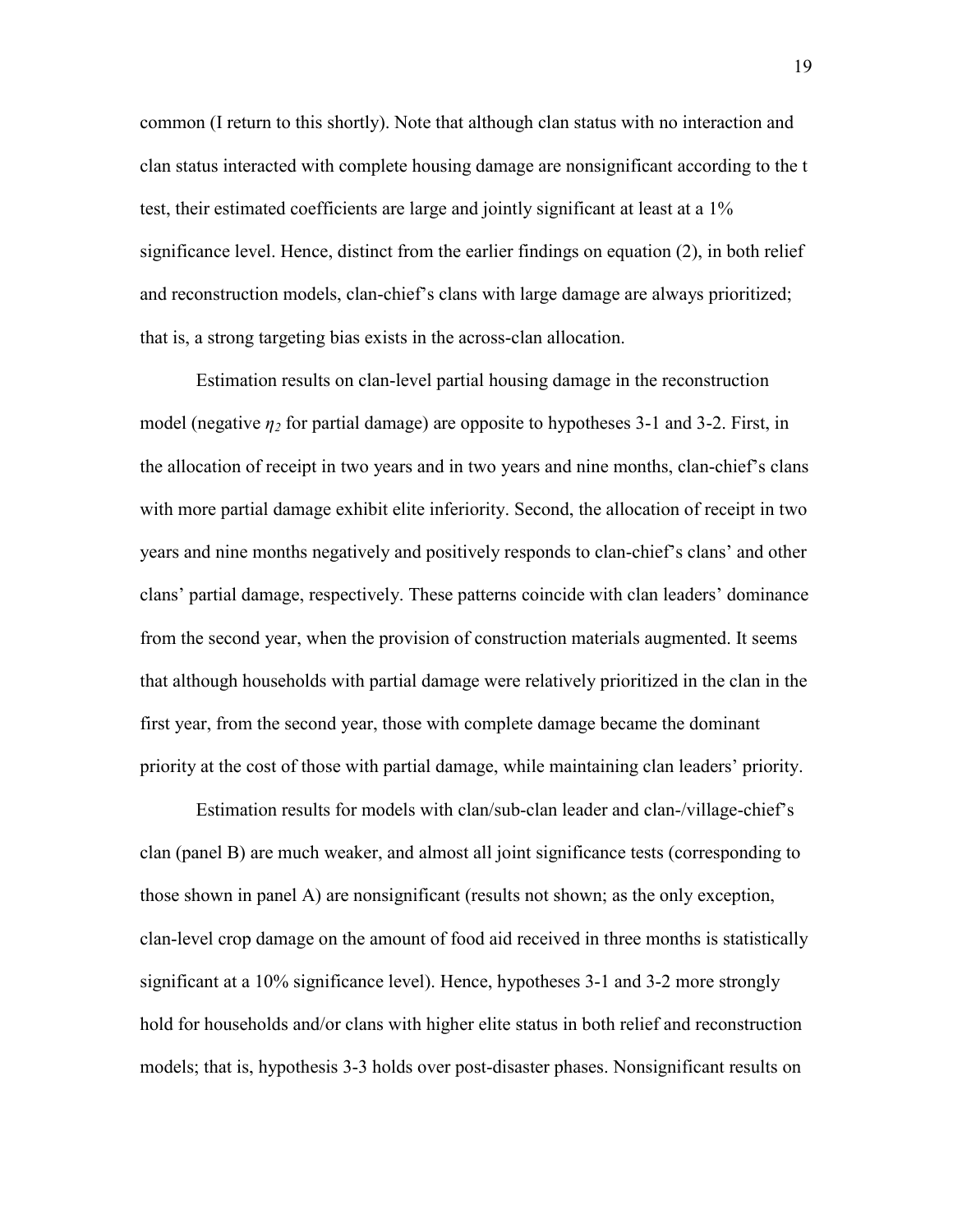common (I return to this shortly). Note that although clan status with no interaction and clan status interacted with complete housing damage are nonsignificant according to the t test, their estimated coefficients are large and jointly significant at least at a 1% significance level. Hence, distinct from the earlier findings on equation (2), in both relief and reconstruction models, clan-chief's clans with large damage are always prioritized; that is, a strong targeting bias exists in the across-clan allocation.

Estimation results on clan-level partial housing damage in the reconstruction model (negative  $\eta_2$  for partial damage) are opposite to hypotheses 3-1 and 3-2. First, in the allocation of receipt in two years and in two years and nine months, clan-chief's clans with more partial damage exhibit elite inferiority. Second, the allocation of receipt in two years and nine months negatively and positively responds to clan-chief's clans' and other clans' partial damage, respectively. These patterns coincide with clan leaders' dominance from the second year, when the provision of construction materials augmented. It seems that although households with partial damage were relatively prioritized in the clan in the first year, from the second year, those with complete damage became the dominant priority at the cost of those with partial damage, while maintaining clan leaders' priority.

Estimation results for models with clan/sub-clan leader and clan-/village-chief's clan (panel B) are much weaker, and almost all joint significance tests (corresponding to those shown in panel A) are nonsignificant (results not shown; as the only exception, clan-level crop damage on the amount of food aid received in three months is statistically significant at a 10% significance level). Hence, hypotheses 3-1 and 3-2 more strongly hold for households and/or clans with higher elite status in both relief and reconstruction models; that is, hypothesis 3-3 holds over post-disaster phases. Nonsignificant results on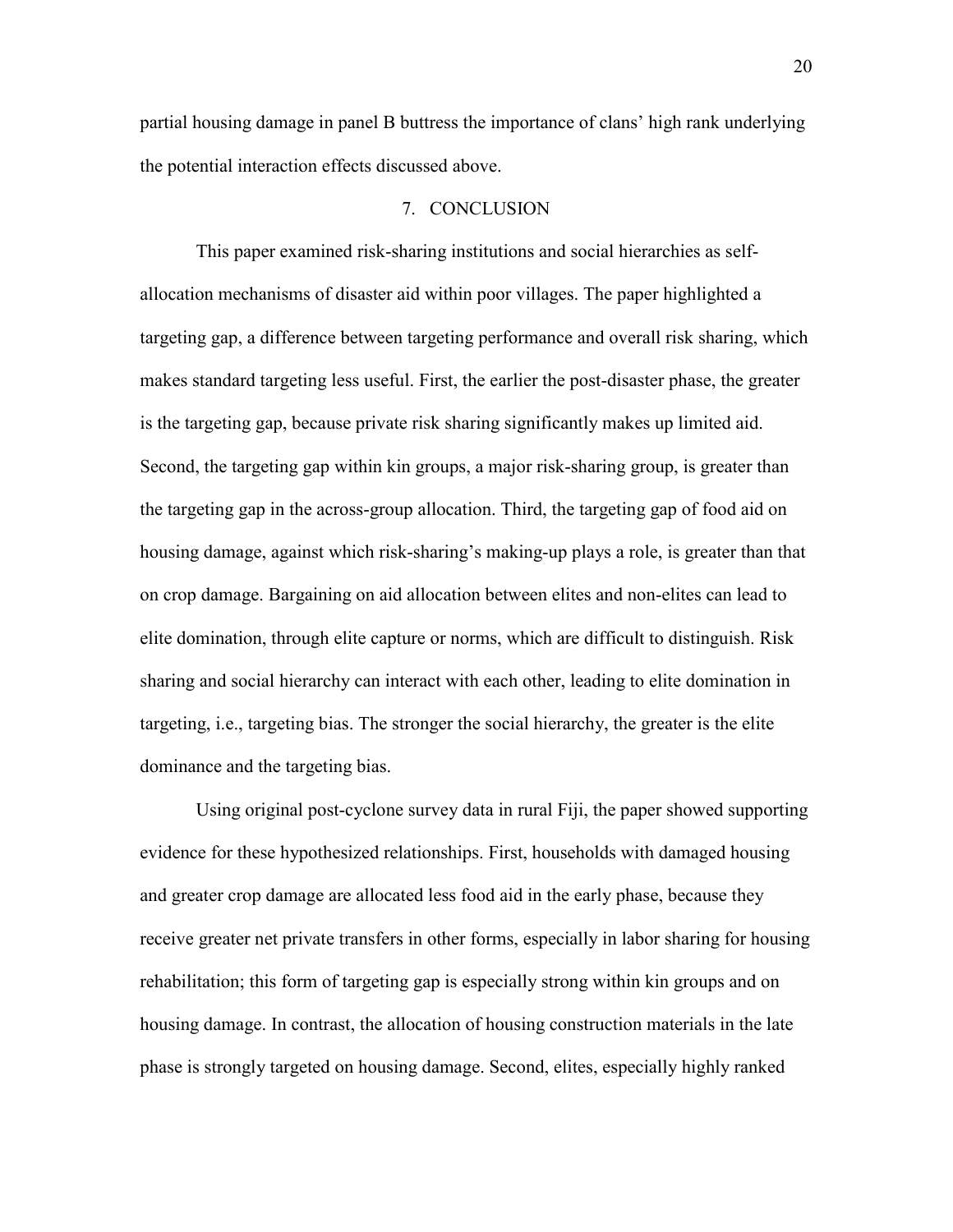partial housing damage in panel B buttress the importance of clans' high rank underlying the potential interaction effects discussed above.

### 7. CONCLUSION

This paper examined risk-sharing institutions and social hierarchies as selfallocation mechanisms of disaster aid within poor villages. The paper highlighted a targeting gap, a difference between targeting performance and overall risk sharing, which makes standard targeting less useful. First, the earlier the post-disaster phase, the greater is the targeting gap, because private risk sharing significantly makes up limited aid. Second, the targeting gap within kin groups, a major risk-sharing group, is greater than the targeting gap in the across-group allocation. Third, the targeting gap of food aid on housing damage, against which risk-sharing's making-up plays a role, is greater than that on crop damage. Bargaining on aid allocation between elites and non-elites can lead to elite domination, through elite capture or norms, which are difficult to distinguish. Risk sharing and social hierarchy can interact with each other, leading to elite domination in targeting, i.e., targeting bias. The stronger the social hierarchy, the greater is the elite dominance and the targeting bias.

Using original post-cyclone survey data in rural Fiji, the paper showed supporting evidence for these hypothesized relationships. First, households with damaged housing and greater crop damage are allocated less food aid in the early phase, because they receive greater net private transfers in other forms, especially in labor sharing for housing rehabilitation; this form of targeting gap is especially strong within kin groups and on housing damage. In contrast, the allocation of housing construction materials in the late phase is strongly targeted on housing damage. Second, elites, especially highly ranked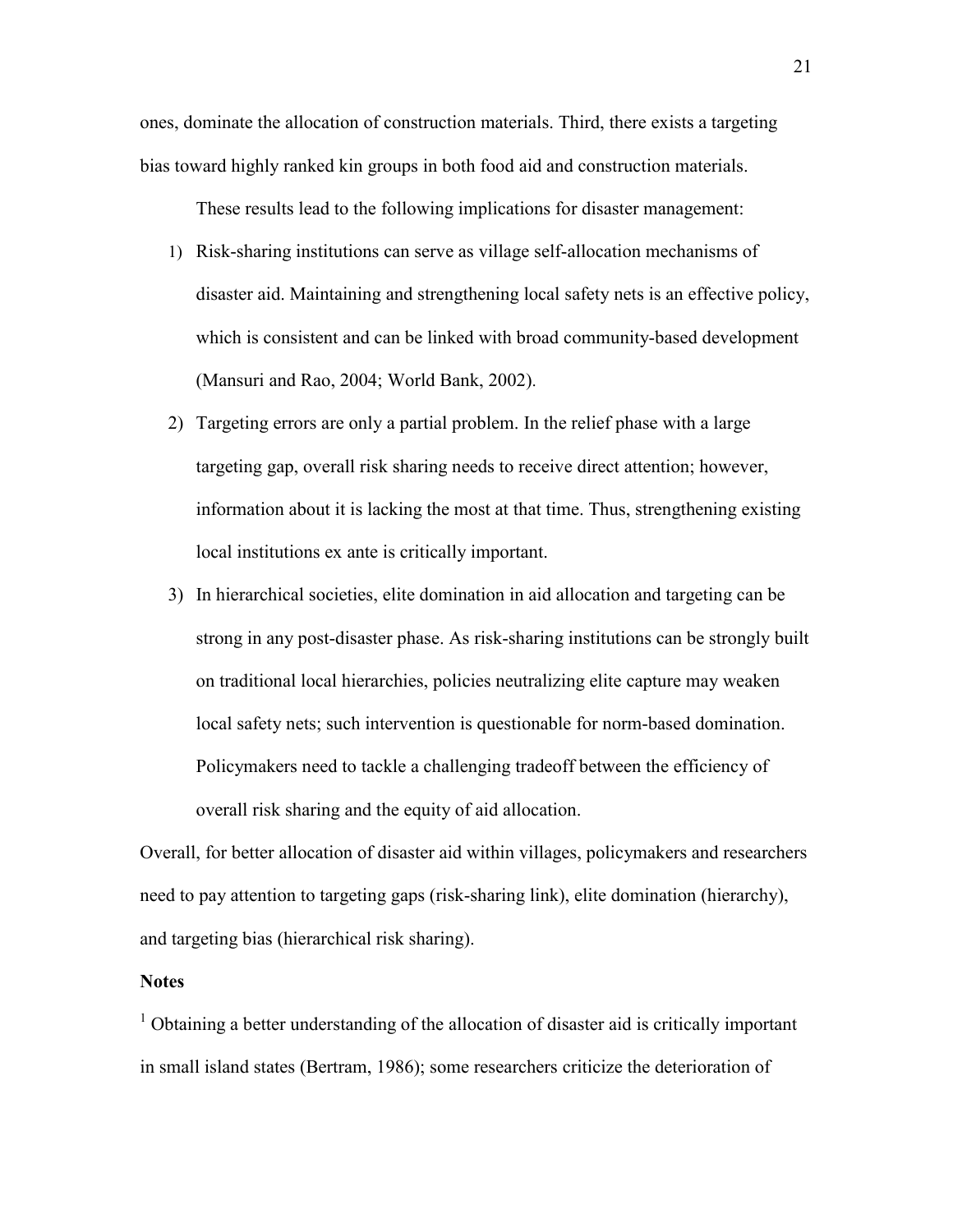ones, dominate the allocation of construction materials. Third, there exists a targeting bias toward highly ranked kin groups in both food aid and construction materials.

These results lead to the following implications for disaster management:

- 1) Risk-sharing institutions can serve as village self-allocation mechanisms of disaster aid. Maintaining and strengthening local safety nets is an effective policy, which is consistent and can be linked with broad community-based development (Mansuri and Rao, 2004; World Bank, 2002).
- 2) Targeting errors are only a partial problem. In the relief phase with a large targeting gap, overall risk sharing needs to receive direct attention; however, information about it is lacking the most at that time. Thus, strengthening existing local institutions ex ante is critically important.
- 3) In hierarchical societies, elite domination in aid allocation and targeting can be strong in any post-disaster phase. As risk-sharing institutions can be strongly built on traditional local hierarchies, policies neutralizing elite capture may weaken local safety nets; such intervention is questionable for norm-based domination. Policymakers need to tackle a challenging tradeoff between the efficiency of overall risk sharing and the equity of aid allocation.

Overall, for better allocation of disaster aid within villages, policymakers and researchers need to pay attention to targeting gaps (risk-sharing link), elite domination (hierarchy), and targeting bias (hierarchical risk sharing).

#### **Notes**

<sup>1</sup> Obtaining a better understanding of the allocation of disaster aid is critically important in small island states (Bertram, 1986); some researchers criticize the deterioration of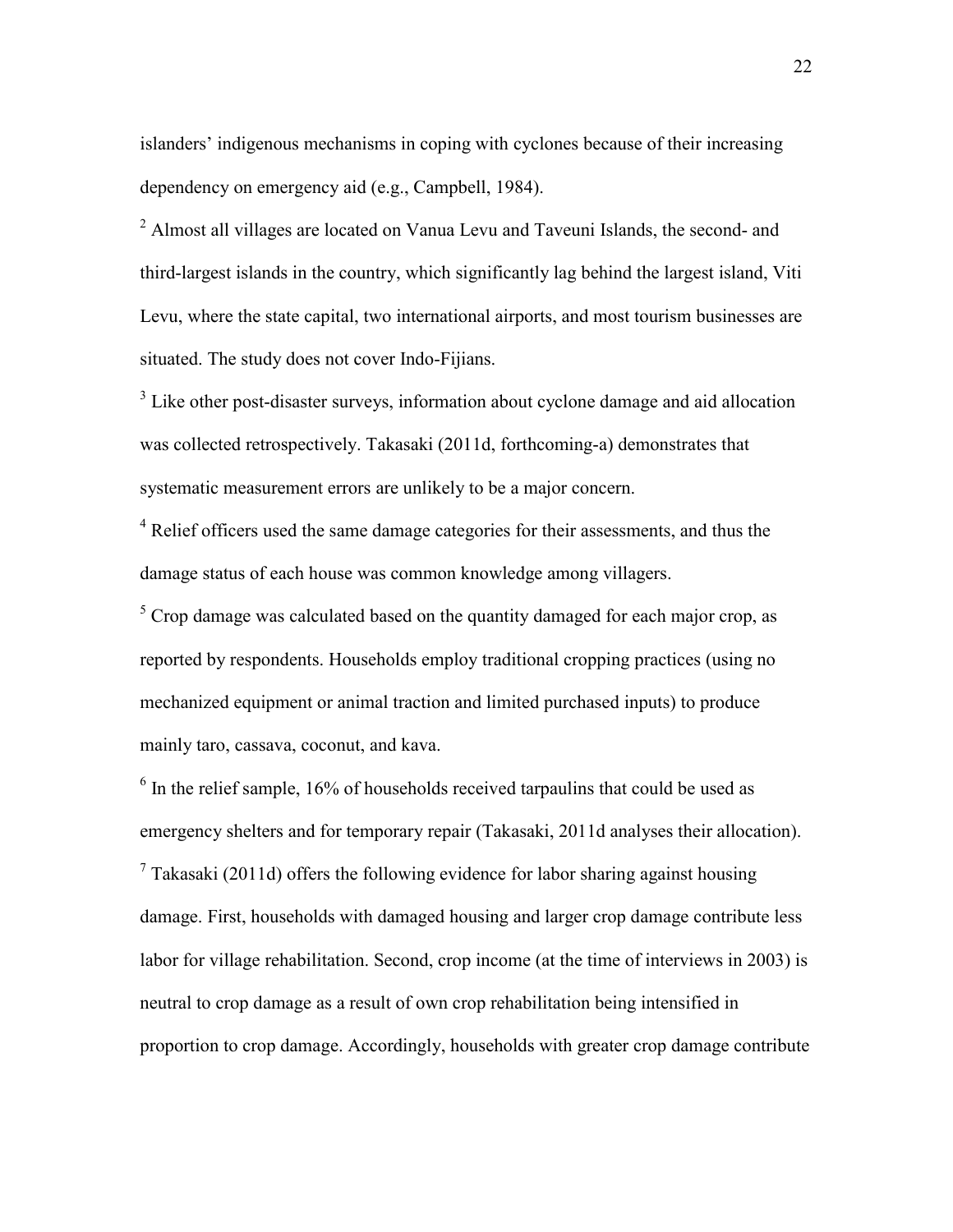islanders' indigenous mechanisms in coping with cyclones because of their increasing dependency on emergency aid (e.g., Campbell, 1984).

 $<sup>2</sup>$  Almost all villages are located on Vanua Levu and Taveuni Islands, the second- and</sup> third-largest islands in the country, which significantly lag behind the largest island, Viti Levu, where the state capital, two international airports, and most tourism businesses are situated. The study does not cover Indo-Fijians.

<sup>3</sup> Like other post-disaster surveys, information about cyclone damage and aid allocation was collected retrospectively. Takasaki (2011d, forthcoming-a) demonstrates that systematic measurement errors are unlikely to be a major concern.

<sup>4</sup> Relief officers used the same damage categories for their assessments, and thus the damage status of each house was common knowledge among villagers.

 $5$  Crop damage was calculated based on the quantity damaged for each major crop, as reported by respondents. Households employ traditional cropping practices (using no mechanized equipment or animal traction and limited purchased inputs) to produce mainly taro, cassava, coconut, and kava.

 $6$  In the relief sample, 16% of households received tarpaulins that could be used as emergency shelters and for temporary repair (Takasaki, 2011d analyses their allocation).  $\frac{7}{7}$  Takasaki (2011d) offers the following evidence for labor sharing against housing damage. First, households with damaged housing and larger crop damage contribute less labor for village rehabilitation. Second, crop income (at the time of interviews in 2003) is neutral to crop damage as a result of own crop rehabilitation being intensified in proportion to crop damage. Accordingly, households with greater crop damage contribute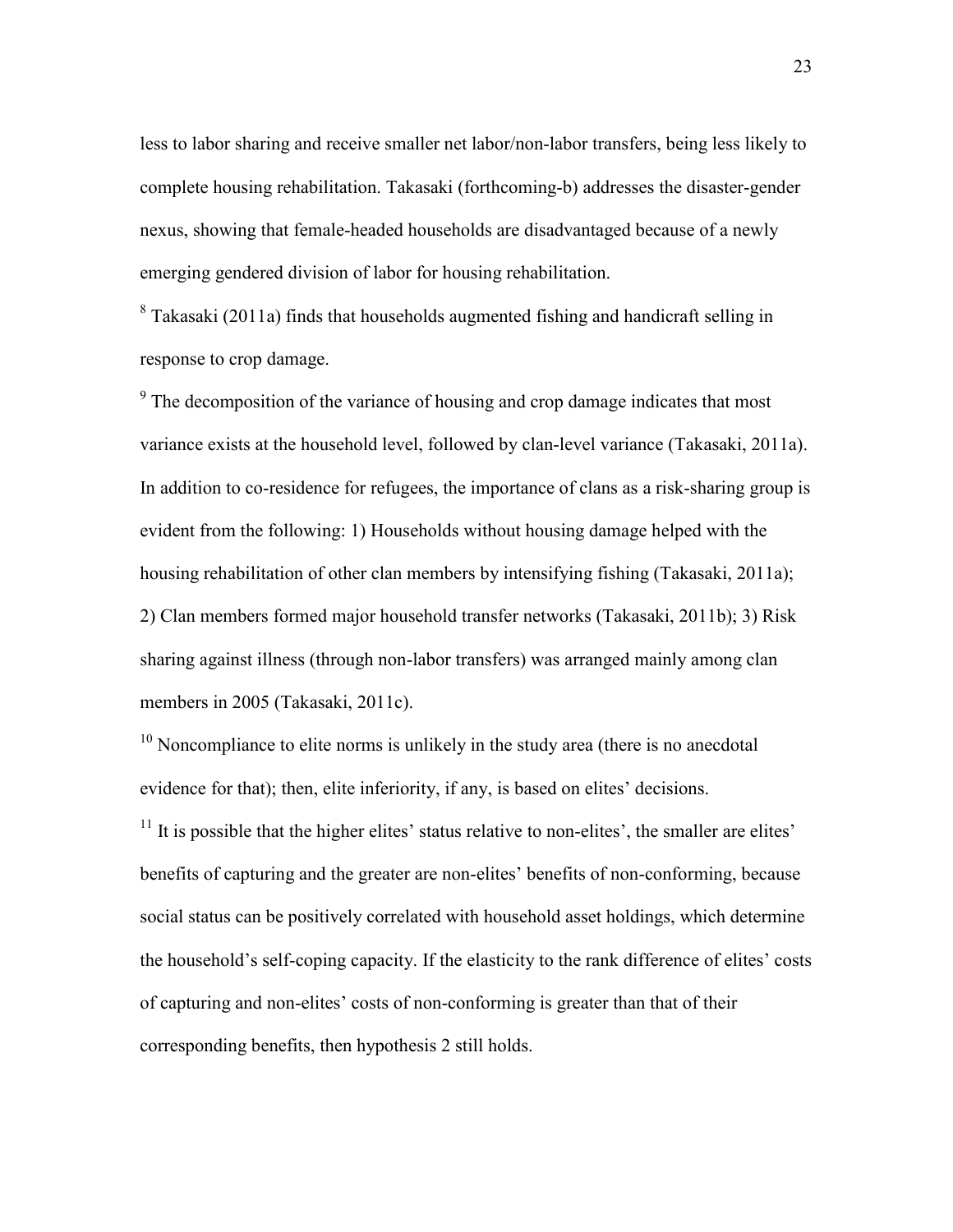less to labor sharing and receive smaller net labor/non-labor transfers, being less likely to complete housing rehabilitation. Takasaki (forthcoming-b) addresses the disaster-gender nexus, showing that female-headed households are disadvantaged because of a newly emerging gendered division of labor for housing rehabilitation.

 $8$  Takasaki (2011a) finds that households augmented fishing and handicraft selling in response to crop damage.

 $9<sup>9</sup>$  The decomposition of the variance of housing and crop damage indicates that most variance exists at the household level, followed by clan-level variance (Takasaki, 2011a). In addition to co-residence for refugees, the importance of clans as a risk-sharing group is evident from the following: 1) Households without housing damage helped with the housing rehabilitation of other clan members by intensifying fishing (Takasaki, 2011a); 2) Clan members formed major household transfer networks (Takasaki, 2011b); 3) Risk sharing against illness (through non-labor transfers) was arranged mainly among clan members in 2005 (Takasaki, 2011c).

 $10$  Noncompliance to elite norms is unlikely in the study area (there is no anecdotal evidence for that); then, elite inferiority, if any, is based on elites' decisions.

 $11$  It is possible that the higher elites' status relative to non-elites', the smaller are elites' benefits of capturing and the greater are non-elites' benefits of non-conforming, because social status can be positively correlated with household asset holdings, which determine the household's self-coping capacity. If the elasticity to the rank difference of elites' costs of capturing and non-elites' costs of non-conforming is greater than that of their corresponding benefits, then hypothesis 2 still holds.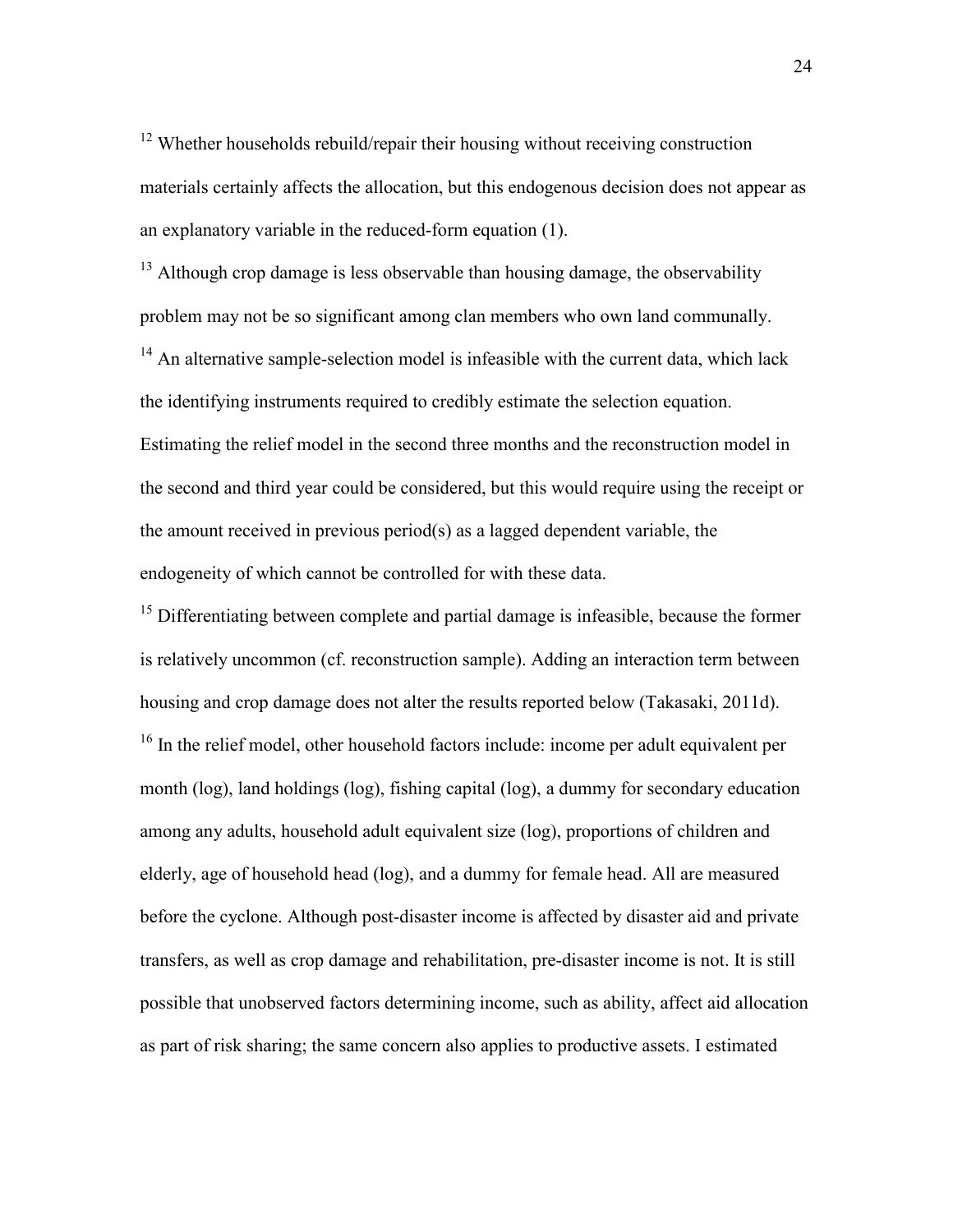$12$  Whether households rebuild/repair their housing without receiving construction materials certainly affects the allocation, but this endogenous decision does not appear as an explanatory variable in the reduced-form equation (1).

 $13$  Although crop damage is less observable than housing damage, the observability problem may not be so significant among clan members who own land communally.

<sup>14</sup> An alternative sample-selection model is infeasible with the current data, which lack the identifying instruments required to credibly estimate the selection equation. Estimating the relief model in the second three months and the reconstruction model in the second and third year could be considered, but this would require using the receipt or the amount received in previous period(s) as a lagged dependent variable, the endogeneity of which cannot be controlled for with these data.

<sup>15</sup> Differentiating between complete and partial damage is infeasible, because the former is relatively uncommon (cf. reconstruction sample). Adding an interaction term between housing and crop damage does not alter the results reported below (Takasaki, 2011d). <sup>16</sup> In the relief model, other household factors include: income per adult equivalent per month (log), land holdings (log), fishing capital (log), a dummy for secondary education among any adults, household adult equivalent size (log), proportions of children and elderly, age of household head (log), and a dummy for female head. All are measured before the cyclone. Although post-disaster income is affected by disaster aid and private transfers, as well as crop damage and rehabilitation, pre-disaster income is not. It is still possible that unobserved factors determining income, such as ability, affect aid allocation as part of risk sharing; the same concern also applies to productive assets. I estimated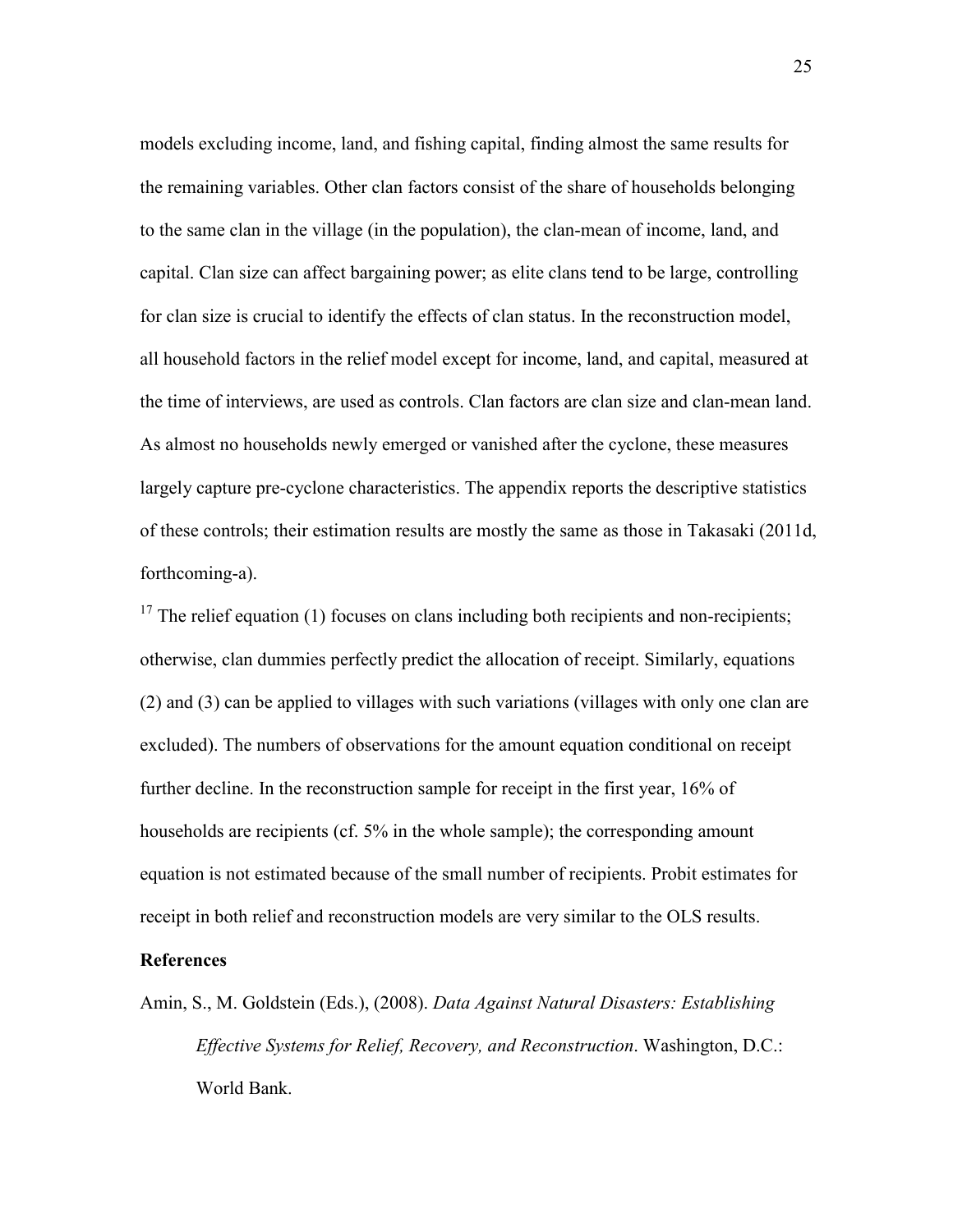models excluding income, land, and fishing capital, finding almost the same results for the remaining variables. Other clan factors consist of the share of households belonging to the same clan in the village (in the population), the clan-mean of income, land, and capital. Clan size can affect bargaining power; as elite clans tend to be large, controlling for clan size is crucial to identify the effects of clan status. In the reconstruction model, all household factors in the relief model except for income, land, and capital, measured at the time of interviews, are used as controls. Clan factors are clan size and clan-mean land. As almost no households newly emerged or vanished after the cyclone, these measures largely capture pre-cyclone characteristics. The appendix reports the descriptive statistics of these controls; their estimation results are mostly the same as those in Takasaki (2011d, forthcoming-a).

<sup>17</sup> The relief equation (1) focuses on clans including both recipients and non-recipients; otherwise, clan dummies perfectly predict the allocation of receipt. Similarly, equations (2) and (3) can be applied to villages with such variations (villages with only one clan are excluded). The numbers of observations for the amount equation conditional on receipt further decline. In the reconstruction sample for receipt in the first year, 16% of households are recipients (cf. 5% in the whole sample); the corresponding amount equation is not estimated because of the small number of recipients. Probit estimates for receipt in both relief and reconstruction models are very similar to the OLS results.

## **References**

Amin, S., M. Goldstein (Eds.), (2008). *Data Against Natural Disasters: Establishing Effective Systems for Relief, Recovery, and Reconstruction*. Washington, D.C.: World Bank.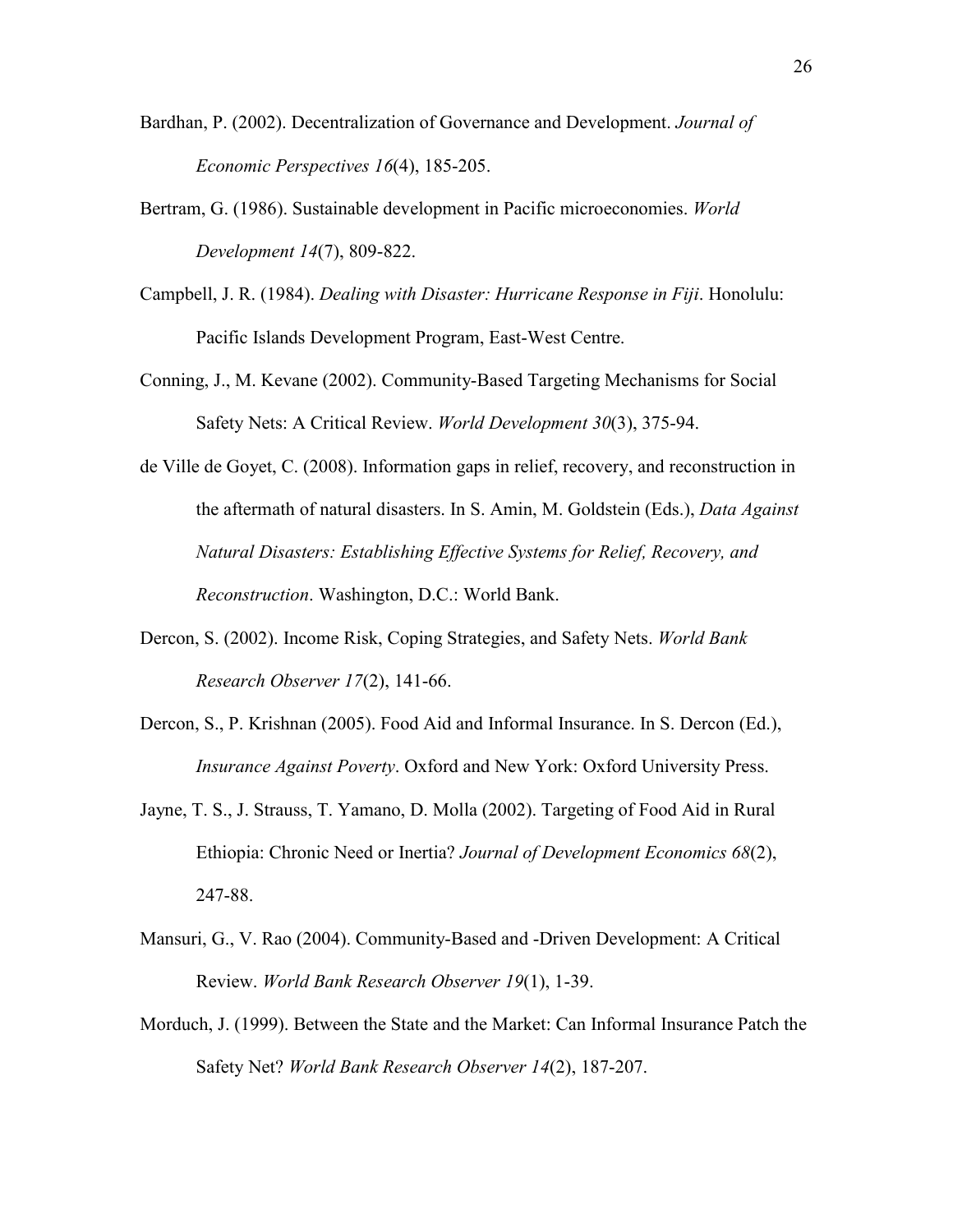- Bardhan, P. (2002). Decentralization of Governance and Development. *Journal of Economic Perspectives 16*(4), 185-205.
- Bertram, G. (1986). Sustainable development in Pacific microeconomies. *World Development 14*(7), 809-822.
- Campbell, J. R. (1984). *Dealing with Disaster: Hurricane Response in Fiji*. Honolulu: Pacific Islands Development Program, East-West Centre.
- Conning, J., M. Kevane (2002). Community-Based Targeting Mechanisms for Social Safety Nets: A Critical Review. *World Development 30*(3), 375-94.
- de Ville de Goyet, C. (2008). Information gaps in relief, recovery, and reconstruction in the aftermath of natural disasters. In S. Amin, M. Goldstein (Eds.), *Data Against Natural Disasters: Establishing Effective Systems for Relief, Recovery, and Reconstruction*. Washington, D.C.: World Bank.
- Dercon, S. (2002). Income Risk, Coping Strategies, and Safety Nets. *World Bank Research Observer 17*(2), 141-66.
- Dercon, S., P. Krishnan (2005). Food Aid and Informal Insurance. In S. Dercon (Ed.), *Insurance Against Poverty*. Oxford and New York: Oxford University Press.
- Jayne, T. S., J. Strauss, T. Yamano, D. Molla (2002). Targeting of Food Aid in Rural Ethiopia: Chronic Need or Inertia? *Journal of Development Economics 68*(2), 247-88.
- Mansuri, G., V. Rao (2004). Community-Based and -Driven Development: A Critical Review. *World Bank Research Observer 19*(1), 1-39.
- Morduch, J. (1999). Between the State and the Market: Can Informal Insurance Patch the Safety Net? *World Bank Research Observer 14*(2), 187-207.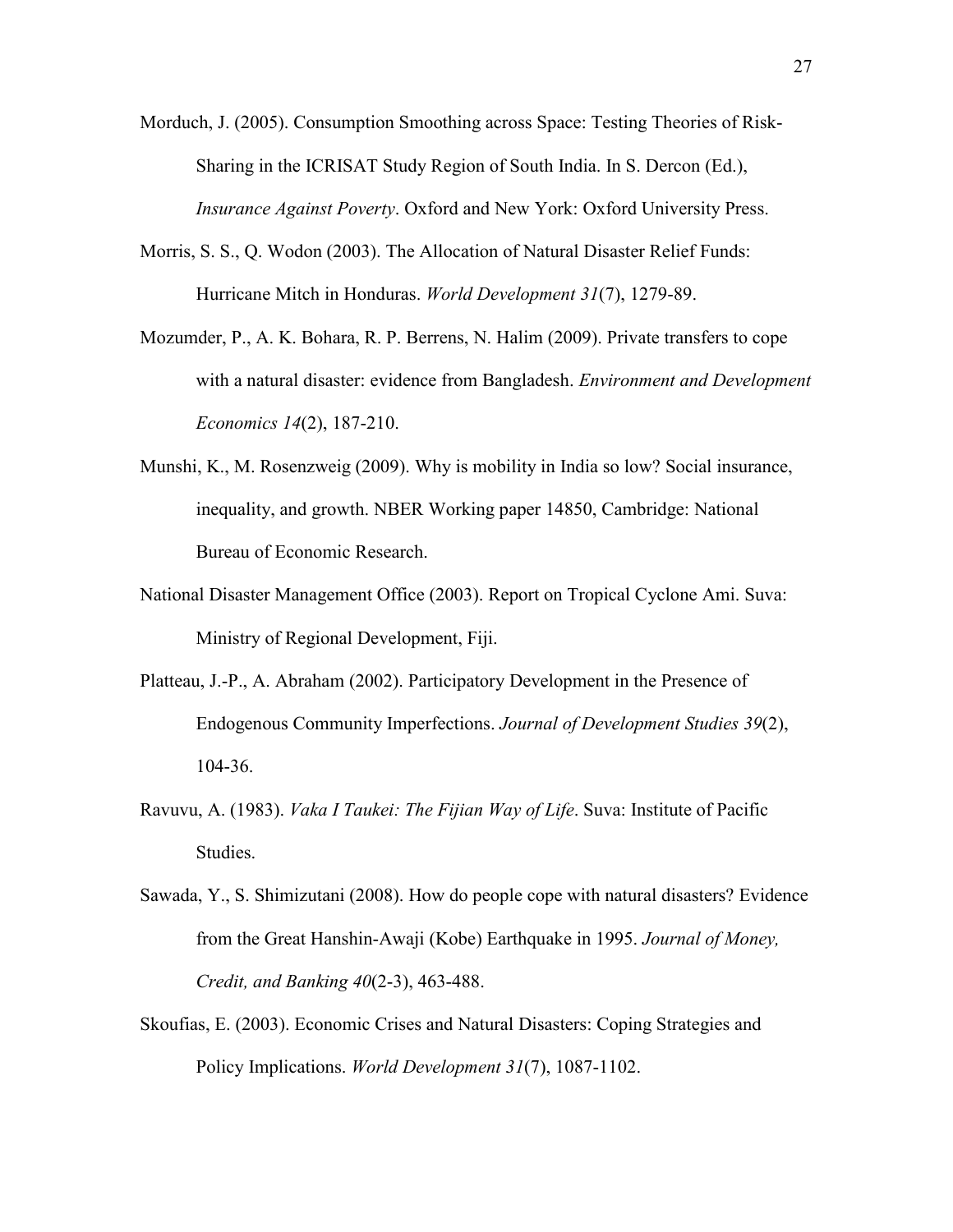- Morduch, J. (2005). Consumption Smoothing across Space: Testing Theories of Risk-Sharing in the ICRISAT Study Region of South India. In S. Dercon (Ed.), *Insurance Against Poverty*. Oxford and New York: Oxford University Press.
- Morris, S. S., Q. Wodon (2003). The Allocation of Natural Disaster Relief Funds: Hurricane Mitch in Honduras. *World Development 31*(7), 1279-89.
- Mozumder, P., A. K. Bohara, R. P. Berrens, N. Halim (2009). Private transfers to cope with a natural disaster: evidence from Bangladesh. *Environment and Development Economics 14*(2), 187-210.
- Munshi, K., M. Rosenzweig (2009). Why is mobility in India so low? Social insurance, inequality, and growth. NBER Working paper 14850, Cambridge: National Bureau of Economic Research.
- National Disaster Management Office (2003). Report on Tropical Cyclone Ami. Suva: Ministry of Regional Development, Fiji.
- Platteau, J.-P., A. Abraham (2002). Participatory Development in the Presence of Endogenous Community Imperfections. *Journal of Development Studies 39*(2), 104-36.
- Ravuvu, A. (1983). *Vaka I Taukei: The Fijian Way of Life*. Suva: Institute of Pacific Studies.
- Sawada, Y., S. Shimizutani (2008). How do people cope with natural disasters? Evidence from the Great Hanshin-Awaji (Kobe) Earthquake in 1995. *Journal of Money, Credit, and Banking 40*(2-3), 463-488.
- Skoufias, E. (2003). Economic Crises and Natural Disasters: Coping Strategies and Policy Implications. *World Development 31*(7), 1087-1102.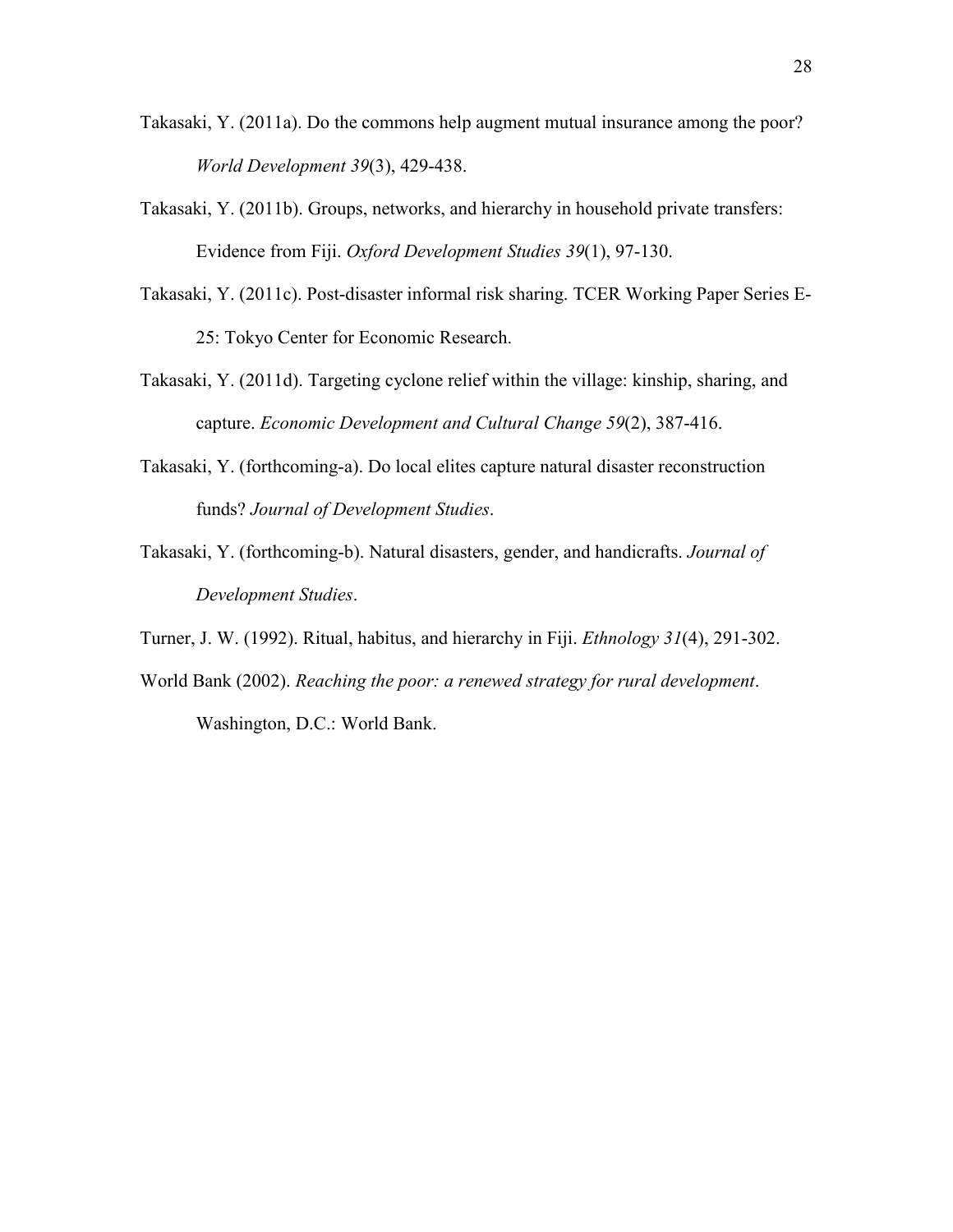- Takasaki, Y. (2011a). Do the commons help augment mutual insurance among the poor? *World Development 39*(3), 429-438.
- Takasaki, Y. (2011b). Groups, networks, and hierarchy in household private transfers: Evidence from Fiji. *Oxford Development Studies 39*(1), 97-130.
- Takasaki, Y. (2011c). Post-disaster informal risk sharing. TCER Working Paper Series E-25: Tokyo Center for Economic Research.
- Takasaki, Y. (2011d). Targeting cyclone relief within the village: kinship, sharing, and capture. *Economic Development and Cultural Change 59*(2), 387-416.
- Takasaki, Y. (forthcoming-a). Do local elites capture natural disaster reconstruction funds? *Journal of Development Studies*.
- Takasaki, Y. (forthcoming-b). Natural disasters, gender, and handicrafts. *Journal of Development Studies*.
- Turner, J. W. (1992). Ritual, habitus, and hierarchy in Fiji. *Ethnology 31*(4), 291-302.
- World Bank (2002). *Reaching the poor: a renewed strategy for rural development*. Washington, D.C.: World Bank.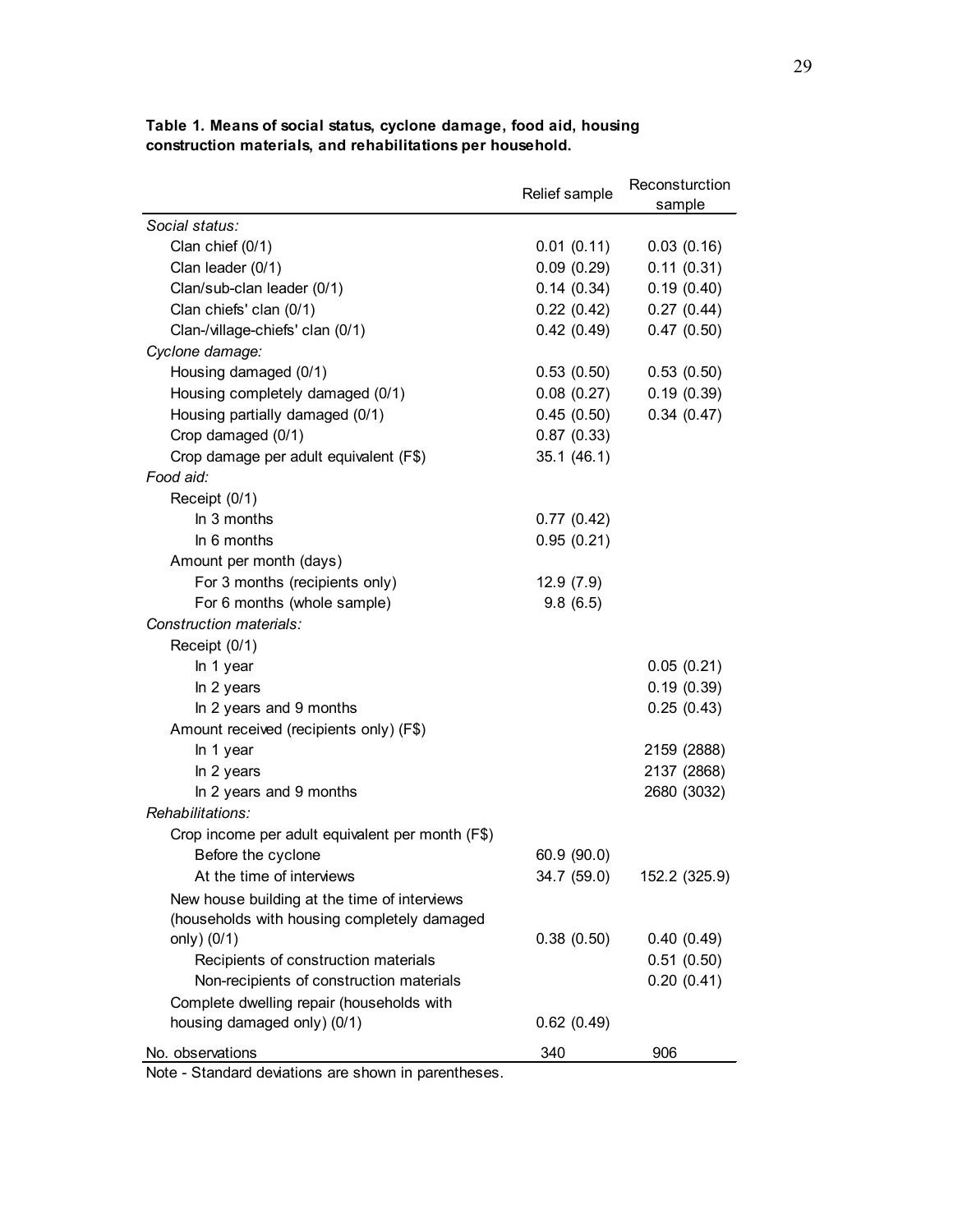|                                                     | Relief sample            | Reconsturction |
|-----------------------------------------------------|--------------------------|----------------|
| Social status:                                      |                          | sample         |
| Clan chief (0/1)                                    | 0.01(0.11)               | 0.03(0.16)     |
| Clan leader (0/1)                                   | 0.09(0.29)               | 0.11(0.31)     |
| Clan/sub-clan leader (0/1)                          | 0.14(0.34)               | 0.19(0.40)     |
| Clan chiefs' clan (0/1)                             | 0.22(0.42)               | 0.27(0.44)     |
| Clan-/village-chiefs' clan (0/1)                    | 0.42(0.49)               | 0.47(0.50)     |
| Cyclone damage:                                     |                          |                |
| Housing damaged (0/1)                               | 0.53(0.50)               | 0.53(0.50)     |
| Housing completely damaged (0/1)                    | 0.08(0.27)               | 0.19(0.39)     |
|                                                     |                          | 0.34(0.47)     |
| Housing partially damaged (0/1)                     | 0.45(0.50)<br>0.87(0.33) |                |
| Crop damaged (0/1)                                  |                          |                |
| Crop damage per adult equivalent (F\$)              | 35.1(46.1)               |                |
| Food aid:                                           |                          |                |
| Receipt (0/1)                                       |                          |                |
| In 3 months                                         | 0.77(0.42)               |                |
| In 6 months                                         | 0.95(0.21)               |                |
| Amount per month (days)                             |                          |                |
| For 3 months (recipients only)                      | 12.9(7.9)                |                |
| For 6 months (whole sample)                         | 9.8(6.5)                 |                |
| Construction materials:                             |                          |                |
| Receipt (0/1)                                       |                          |                |
| In 1 year                                           |                          | 0.05(0.21)     |
| In 2 years                                          |                          | 0.19(0.39)     |
| In 2 years and 9 months                             |                          | 0.25(0.43)     |
| Amount received (recipients only) (F\$)             |                          |                |
| In 1 year                                           |                          | 2159 (2888)    |
| In 2 years                                          |                          | 2137 (2868)    |
| In 2 years and 9 months                             |                          | 2680 (3032)    |
| Rehabilitations:                                    |                          |                |
| Crop income per adult equivalent per month (F\$)    |                          |                |
| Before the cyclone                                  | 60.9 (90.0)              |                |
| At the time of interviews                           | 34.7 (59.0)              | 152.2 (325.9)  |
| New house building at the time of interviews        |                          |                |
| (households with housing completely damaged         |                          |                |
| only) (0/1)                                         | 0.38(0.50)               | 0.40(0.49)     |
| Recipients of construction materials                |                          | 0.51(0.50)     |
| Non-recipients of construction materials            |                          | 0.20(0.41)     |
| Complete dwelling repair (households with           |                          |                |
| housing damaged only) (0/1)                         | 0.62(0.49)               |                |
| No. observations                                    | 340                      | 906            |
| Note - Standard deviations are shown in narentheses |                          |                |

**Table 1. Means of social status, cyclone damage, food aid, housing construction materials, and rehabilitations per household.**

Note - Standard deviations are shown in parentheses.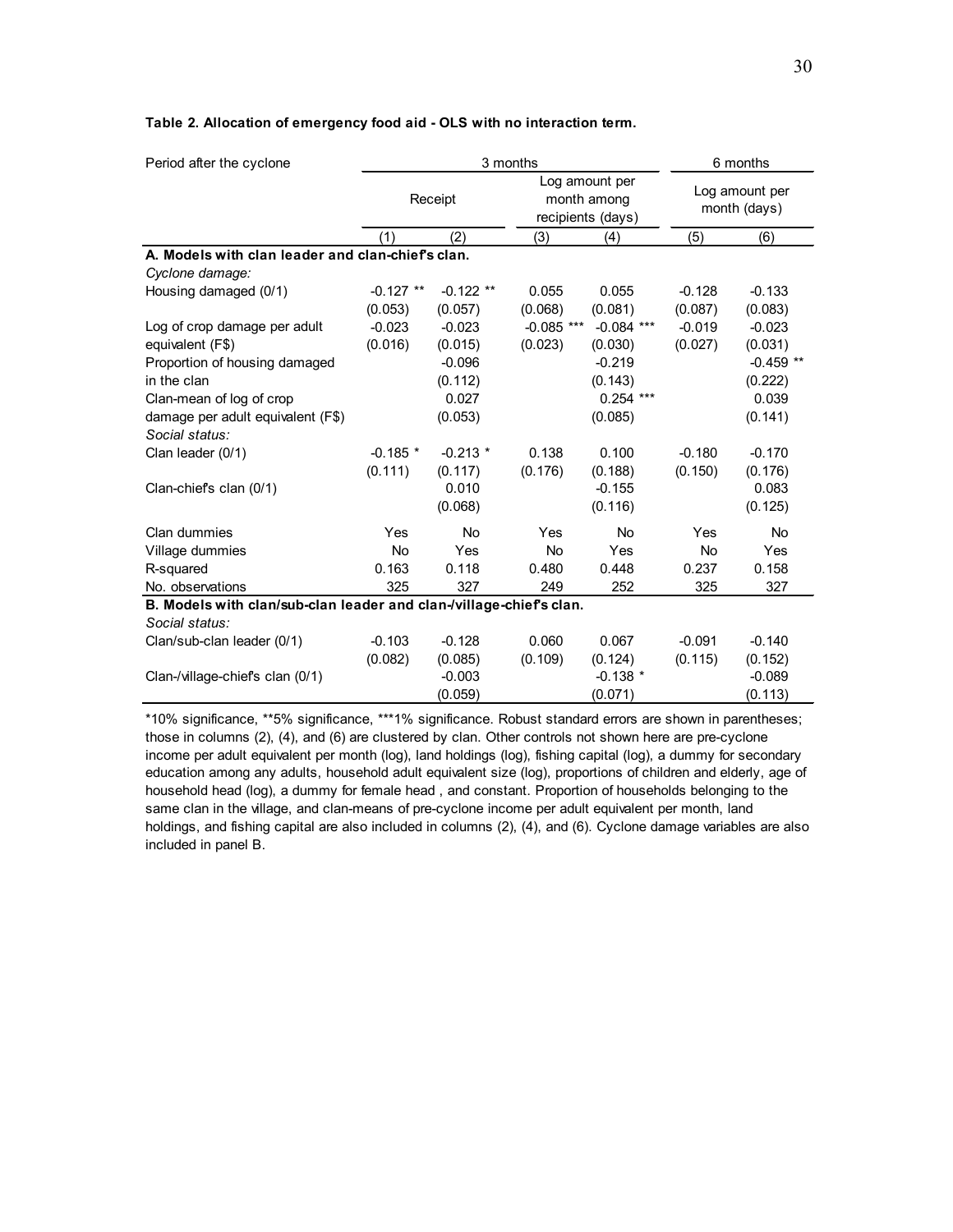#### **Table 2. Allocation of emergency food aid - OLS with no interaction term.**

| Period after the cyclone                                            | 3 months    |             |                                                    |              | 6 months  |                                |  |
|---------------------------------------------------------------------|-------------|-------------|----------------------------------------------------|--------------|-----------|--------------------------------|--|
|                                                                     |             | Receipt     | Log amount per<br>month among<br>recipients (days) |              |           | Log amount per<br>month (days) |  |
|                                                                     | (1)         | (2)         | (3)                                                | (4)          | (5)       | (6)                            |  |
| A. Models with clan leader and clan-chief's clan.                   |             |             |                                                    |              |           |                                |  |
| Cyclone damage:                                                     |             |             |                                                    |              |           |                                |  |
| Housing damaged (0/1)                                               | $-0.127$ ** | $-0.122$ ** | 0.055                                              | 0.055        | $-0.128$  | $-0.133$                       |  |
|                                                                     | (0.053)     | (0.057)     | (0.068)                                            | (0.081)      | (0.087)   | (0.083)                        |  |
| Log of crop damage per adult                                        | $-0.023$    | $-0.023$    | $-0.085$ ***                                       | $-0.084$ *** | $-0.019$  | $-0.023$                       |  |
| equivalent (F\$)                                                    | (0.016)     | (0.015)     | (0.023)                                            | (0.030)      | (0.027)   | (0.031)                        |  |
| Proportion of housing damaged                                       |             | $-0.096$    |                                                    | $-0.219$     |           | $-0.459$ **                    |  |
| in the clan                                                         |             | (0.112)     |                                                    | (0.143)      |           | (0.222)                        |  |
| Clan-mean of log of crop                                            |             | 0.027       |                                                    | $0.254$ ***  |           | 0.039                          |  |
| damage per adult equivalent (F\$)                                   |             | (0.053)     |                                                    | (0.085)      |           | (0.141)                        |  |
| Social status:                                                      |             |             |                                                    |              |           |                                |  |
| Clan leader (0/1)                                                   | $-0.185$ *  | $-0.213$ *  | 0.138                                              | 0.100        | $-0.180$  | $-0.170$                       |  |
|                                                                     | (0.111)     | (0.117)     | (0.176)                                            | (0.188)      | (0.150)   | (0.176)                        |  |
| Clan-chief's clan (0/1)                                             |             | 0.010       |                                                    | $-0.155$     |           | 0.083                          |  |
|                                                                     |             | (0.068)     |                                                    | (0.116)      |           | (0.125)                        |  |
| Clan dummies                                                        | Yes         | <b>No</b>   | Yes                                                | <b>No</b>    | Yes       | <b>No</b>                      |  |
| Village dummies                                                     | No          | Yes         | <b>No</b>                                          | Yes          | <b>No</b> | Yes                            |  |
| R-squared                                                           | 0.163       | 0.118       | 0.480                                              | 0.448        | 0.237     | 0.158                          |  |
| No. observations                                                    | 325         | 327         | 249                                                | 252          | 325       | 327                            |  |
| B. Models with clan/sub-clan leader and clan-/village-chief's clan. |             |             |                                                    |              |           |                                |  |
| Social status:                                                      |             |             |                                                    |              |           |                                |  |
| Clan/sub-clan leader (0/1)                                          | $-0.103$    | $-0.128$    | 0.060                                              | 0.067        | $-0.091$  | $-0.140$                       |  |
|                                                                     | (0.082)     | (0.085)     | (0.109)                                            | (0.124)      | (0.115)   | (0.152)                        |  |
| Clan-/village-chief's clan (0/1)                                    |             | $-0.003$    |                                                    | $-0.138$ *   |           | $-0.089$                       |  |
|                                                                     |             | (0.059)     |                                                    | (0.071)      |           | (0.113)                        |  |
|                                                                     |             |             |                                                    |              |           |                                |  |

\*10% significance, \*\*5% significance, \*\*\*1% significance. Robust standard errors are shown in parentheses; those in columns (2), (4), and (6) are clustered by clan. Other controls not shown here are pre-cyclone income per adult equivalent per month (log), land holdings (log), fishing capital (log), a dummy for secondary education among any adults, household adult equivalent size (log), proportions of children and elderly, age of household head (log), a dummy for female head , and constant. Proportion of households belonging to the same clan in the village, and clan-means of pre-cyclone income per adult equivalent per month, land holdings, and fishing capital are also included in columns (2), (4), and (6). Cyclone damage variables are also included in panel B.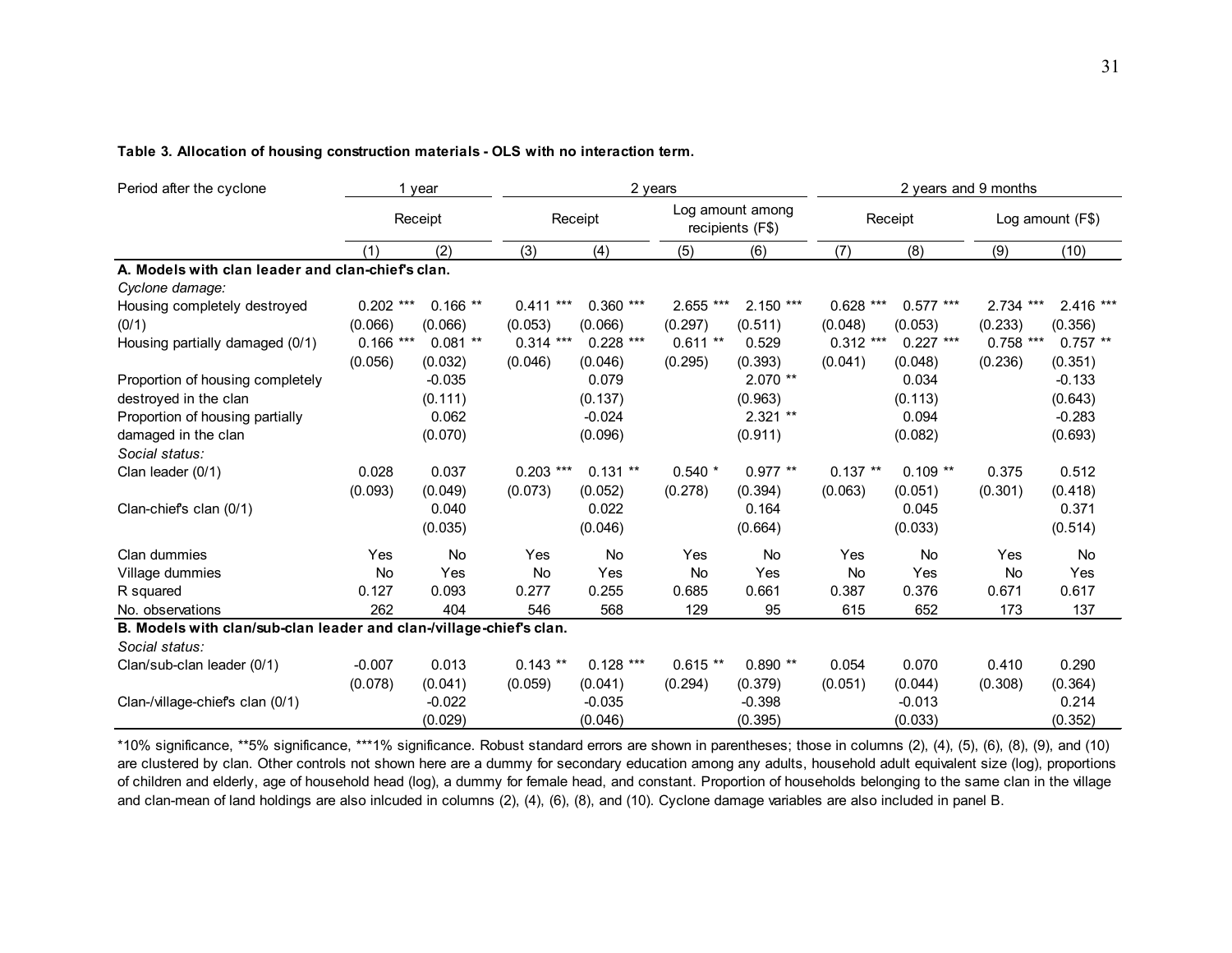| Table 3. Allocation of housing construction materials - OLS with no interaction term. |  |  |  |  |
|---------------------------------------------------------------------------------------|--|--|--|--|
|---------------------------------------------------------------------------------------|--|--|--|--|

| Period after the cyclone                                            |             | 1 year     |             | 2 years     |                                      |             |              |             | 2 years and 9 months |           |
|---------------------------------------------------------------------|-------------|------------|-------------|-------------|--------------------------------------|-------------|--------------|-------------|----------------------|-----------|
|                                                                     | Receipt     |            | Receipt     |             | Log amount among<br>recipients (F\$) |             | Receipt      |             | Log amount (F\$)     |           |
|                                                                     | (1)         | (2)        | (3)         | (4)         | (5)                                  | (6)         | (7)          | (8)         | (9)                  | (10)      |
| A. Models with clan leader and clan-chief's clan.                   |             |            |             |             |                                      |             |              |             |                      |           |
| Cyclone damage:                                                     |             |            |             |             |                                      |             |              |             |                      |           |
| Housing completely destroyed                                        | $0.202$ *** | $0.166$ ** | $0.411***$  | $0.360$ *** | 2.655 ***                            | $2.150$ *** | 0.628<br>*** | $0.577$ *** | 2.734<br>$***$       | 2.416 *** |
| (0/1)                                                               | (0.066)     | (0.066)    | (0.053)     | (0.066)     | (0.297)                              | (0.511)     | (0.048)      | (0.053)     | (0.233)              | (0.356)   |
| Housing partially damaged (0/1)                                     | $0.166$ *** | $0.081**$  | $0.314$ *** | $0.228$ *** | $0.611**$                            | 0.529       | $0.312$ ***  | $0.227$ *** | $0.758$ ***          | $0.757**$ |
|                                                                     | (0.056)     | (0.032)    | (0.046)     | (0.046)     | (0.295)                              | (0.393)     | (0.041)      | (0.048)     | (0.236)              | (0.351)   |
| Proportion of housing completely                                    |             | $-0.035$   |             | 0.079       |                                      | $2.070**$   |              | 0.034       |                      | $-0.133$  |
| destroyed in the clan                                               |             | (0.111)    |             | (0.137)     |                                      | (0.963)     |              | (0.113)     |                      | (0.643)   |
| Proportion of housing partially                                     |             | 0.062      |             | $-0.024$    |                                      | $2.321$ **  |              | 0.094       |                      | $-0.283$  |
| damaged in the clan                                                 |             | (0.070)    |             | (0.096)     |                                      | (0.911)     |              | (0.082)     |                      | (0.693)   |
| Social status:                                                      |             |            |             |             |                                      |             |              |             |                      |           |
| Clan leader (0/1)                                                   | 0.028       | 0.037      | $0.203$ *** | $0.131**$   | $0.540*$                             | $0.977**$   | $0.137**$    | $0.109$ **  | 0.375                | 0.512     |
|                                                                     | (0.093)     | (0.049)    | (0.073)     | (0.052)     | (0.278)                              | (0.394)     | (0.063)      | (0.051)     | (0.301)              | (0.418)   |
| Clan-chief's clan (0/1)                                             |             | 0.040      |             | 0.022       |                                      | 0.164       |              | 0.045       |                      | 0.371     |
|                                                                     |             | (0.035)    |             | (0.046)     |                                      | (0.664)     |              | (0.033)     |                      | (0.514)   |
| Clan dummies                                                        | Yes         | No         | Yes         | <b>No</b>   | Yes                                  | <b>No</b>   | Yes          | <b>No</b>   | Yes                  | No        |
| Village dummies                                                     | <b>No</b>   | Yes        | <b>No</b>   | Yes         | <b>No</b>                            | Yes         | <b>No</b>    | Yes         | <b>No</b>            | Yes       |
| R squared                                                           | 0.127       | 0.093      | 0.277       | 0.255       | 0.685                                | 0.661       | 0.387        | 0.376       | 0.671                | 0.617     |
| No. observations                                                    | 262         | 404        | 546         | 568         | 129                                  | 95          | 615          | 652         | 173                  | 137       |
| B. Models with clan/sub-clan leader and clan-/village-chief's clan. |             |            |             |             |                                      |             |              |             |                      |           |
| Social status:                                                      |             |            |             |             |                                      |             |              |             |                      |           |
| Clan/sub-clan leader (0/1)                                          | $-0.007$    | 0.013      | $0.143$ **  | $0.128$ *** | $0.615**$                            | $0.890**$   | 0.054        | 0.070       | 0.410                | 0.290     |
|                                                                     | (0.078)     | (0.041)    | (0.059)     | (0.041)     | (0.294)                              | (0.379)     | (0.051)      | (0.044)     | (0.308)              | (0.364)   |
| Clan-/village-chief's clan (0/1)                                    |             | $-0.022$   |             | $-0.035$    |                                      | $-0.398$    |              | $-0.013$    |                      | 0.214     |
|                                                                     |             | (0.029)    |             | (0.046)     |                                      | (0.395)     |              | (0.033)     |                      | (0.352)   |

\*10% significance, \*\*5% significance, \*\*\*1% significance. Robust standard errors are shown in parentheses; those in columns (2), (4), (5), (6), (8), (9), and (10) are clustered by clan. Other controls not shown here are a dummy for secondary education among any adults, household adult equivalent size (log), proportions of children and elderly, age of household head (log), a dummy for female head, and constant. Proportion of households belonging to the same clan in the village and clan-mean of land holdings are also inlcuded in columns (2), (4), (6), (8), and (10). Cyclone damage variables are also included in panel B.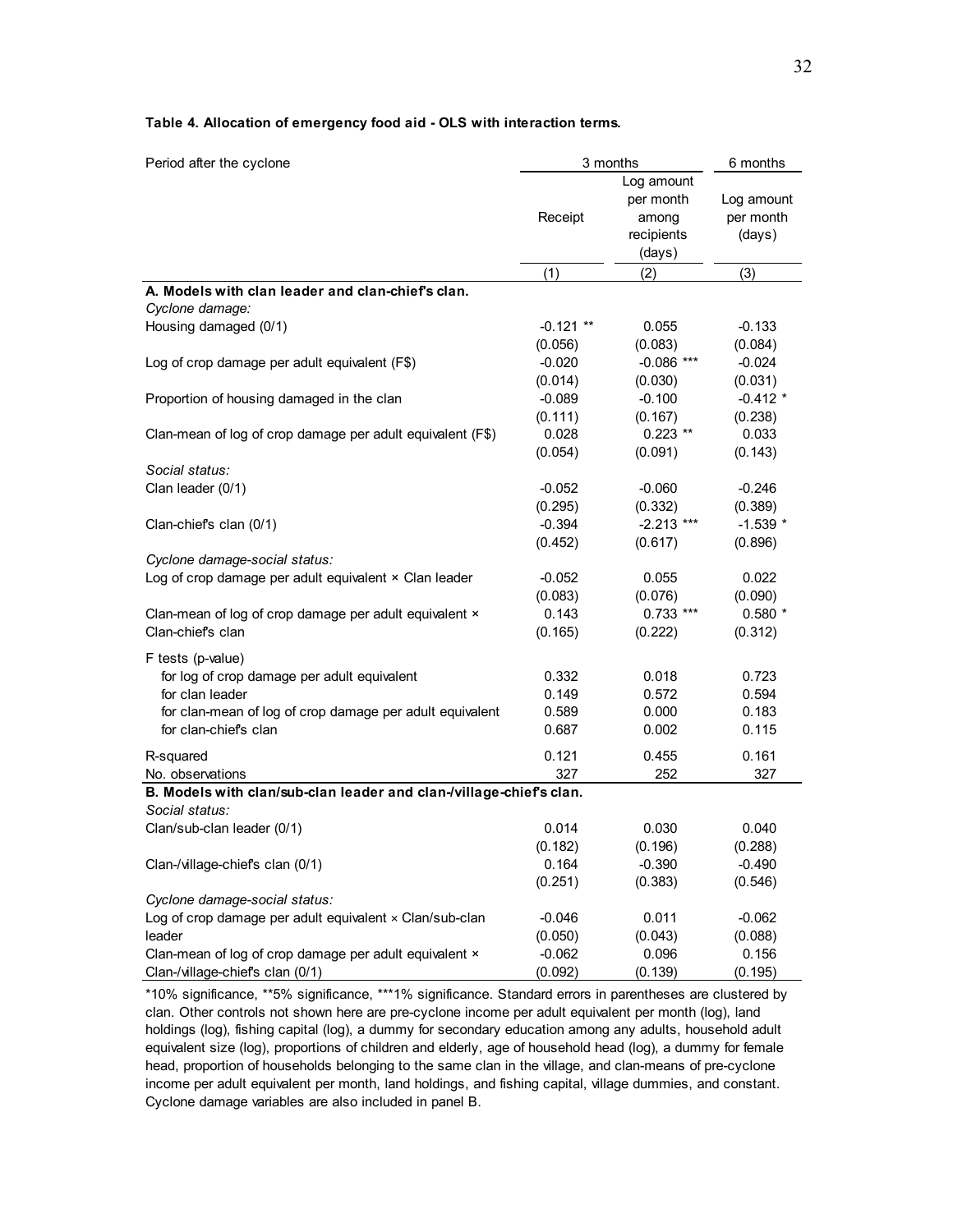#### **Table 4. Allocation of emergency food aid - OLS with interaction terms.**

| Log amount<br>per month<br>Log amount<br>Receipt<br>per month<br>among<br>recipients<br>(days)<br>(days)<br>(1)<br>(2)<br>(3)<br>A. Models with clan leader and clan-chief's clan.<br>Cyclone damage:<br>Housing damaged (0/1)<br>$-0.121$ **<br>0.055<br>$-0.133$<br>(0.083)<br>(0.056)<br>(0.084)<br>$-0.020$<br>$-0.086$ ***<br>$-0.024$<br>Log of crop damage per adult equivalent (F\$)<br>(0.014)<br>(0.030)<br>(0.031)<br>$-0.089$<br>$-0.100$<br>$-0.412*$<br>Proportion of housing damaged in the clan<br>(0.238)<br>(0.111)<br>(0.167)<br>0.028<br>$0.223$ **<br>0.033<br>Clan-mean of log of crop damage per adult equivalent (F\$)<br>(0.054)<br>(0.091)<br>(0.143)<br>Social status:<br>Clan leader (0/1)<br>$-0.052$<br>$-0.060$<br>$-0.246$<br>(0.295)<br>(0.332)<br>(0.389)<br>$-1.539$ *<br>Clan-chiefs clan (0/1)<br>$-0.394$<br>$-2.213$ *** | Period after the cyclone | 3 months | 6 months |  |
|-----------------------------------------------------------------------------------------------------------------------------------------------------------------------------------------------------------------------------------------------------------------------------------------------------------------------------------------------------------------------------------------------------------------------------------------------------------------------------------------------------------------------------------------------------------------------------------------------------------------------------------------------------------------------------------------------------------------------------------------------------------------------------------------------------------------------------------------------------------------|--------------------------|----------|----------|--|
|                                                                                                                                                                                                                                                                                                                                                                                                                                                                                                                                                                                                                                                                                                                                                                                                                                                                 |                          |          |          |  |
|                                                                                                                                                                                                                                                                                                                                                                                                                                                                                                                                                                                                                                                                                                                                                                                                                                                                 |                          |          |          |  |
|                                                                                                                                                                                                                                                                                                                                                                                                                                                                                                                                                                                                                                                                                                                                                                                                                                                                 |                          |          |          |  |
|                                                                                                                                                                                                                                                                                                                                                                                                                                                                                                                                                                                                                                                                                                                                                                                                                                                                 |                          |          |          |  |
|                                                                                                                                                                                                                                                                                                                                                                                                                                                                                                                                                                                                                                                                                                                                                                                                                                                                 |                          |          |          |  |
|                                                                                                                                                                                                                                                                                                                                                                                                                                                                                                                                                                                                                                                                                                                                                                                                                                                                 |                          |          |          |  |
|                                                                                                                                                                                                                                                                                                                                                                                                                                                                                                                                                                                                                                                                                                                                                                                                                                                                 |                          |          |          |  |
|                                                                                                                                                                                                                                                                                                                                                                                                                                                                                                                                                                                                                                                                                                                                                                                                                                                                 |                          |          |          |  |
|                                                                                                                                                                                                                                                                                                                                                                                                                                                                                                                                                                                                                                                                                                                                                                                                                                                                 |                          |          |          |  |
|                                                                                                                                                                                                                                                                                                                                                                                                                                                                                                                                                                                                                                                                                                                                                                                                                                                                 |                          |          |          |  |
|                                                                                                                                                                                                                                                                                                                                                                                                                                                                                                                                                                                                                                                                                                                                                                                                                                                                 |                          |          |          |  |
|                                                                                                                                                                                                                                                                                                                                                                                                                                                                                                                                                                                                                                                                                                                                                                                                                                                                 |                          |          |          |  |
|                                                                                                                                                                                                                                                                                                                                                                                                                                                                                                                                                                                                                                                                                                                                                                                                                                                                 |                          |          |          |  |
|                                                                                                                                                                                                                                                                                                                                                                                                                                                                                                                                                                                                                                                                                                                                                                                                                                                                 |                          |          |          |  |
|                                                                                                                                                                                                                                                                                                                                                                                                                                                                                                                                                                                                                                                                                                                                                                                                                                                                 |                          |          |          |  |
|                                                                                                                                                                                                                                                                                                                                                                                                                                                                                                                                                                                                                                                                                                                                                                                                                                                                 |                          |          |          |  |
| (0.452)<br>(0.896)<br>(0.617)                                                                                                                                                                                                                                                                                                                                                                                                                                                                                                                                                                                                                                                                                                                                                                                                                                   |                          |          |          |  |
| Cyclone damage-social status:                                                                                                                                                                                                                                                                                                                                                                                                                                                                                                                                                                                                                                                                                                                                                                                                                                   |                          |          |          |  |
| Log of crop damage per adult equivalent × Clan leader<br>$-0.052$<br>0.055<br>0.022                                                                                                                                                                                                                                                                                                                                                                                                                                                                                                                                                                                                                                                                                                                                                                             |                          |          |          |  |
| (0.083)<br>(0.076)<br>(0.090)                                                                                                                                                                                                                                                                                                                                                                                                                                                                                                                                                                                                                                                                                                                                                                                                                                   |                          |          |          |  |
| 0.143<br>$0.733$ ***<br>$0.580*$<br>Clan-mean of log of crop damage per adult equivalent x                                                                                                                                                                                                                                                                                                                                                                                                                                                                                                                                                                                                                                                                                                                                                                      |                          |          |          |  |
| Clan-chief's clan<br>(0.165)<br>(0.222)<br>(0.312)                                                                                                                                                                                                                                                                                                                                                                                                                                                                                                                                                                                                                                                                                                                                                                                                              |                          |          |          |  |
|                                                                                                                                                                                                                                                                                                                                                                                                                                                                                                                                                                                                                                                                                                                                                                                                                                                                 |                          |          |          |  |
| F tests (p-value)                                                                                                                                                                                                                                                                                                                                                                                                                                                                                                                                                                                                                                                                                                                                                                                                                                               |                          |          |          |  |
| for log of crop damage per adult equivalent<br>0.332<br>0.018<br>0.723                                                                                                                                                                                                                                                                                                                                                                                                                                                                                                                                                                                                                                                                                                                                                                                          |                          |          |          |  |
| for clan leader<br>0.149<br>0.572<br>0.594                                                                                                                                                                                                                                                                                                                                                                                                                                                                                                                                                                                                                                                                                                                                                                                                                      |                          |          |          |  |
| 0.183<br>for clan-mean of log of crop damage per adult equivalent<br>0.589<br>0.000                                                                                                                                                                                                                                                                                                                                                                                                                                                                                                                                                                                                                                                                                                                                                                             |                          |          |          |  |
| for clan-chief's clan<br>0.687<br>0.002<br>0.115                                                                                                                                                                                                                                                                                                                                                                                                                                                                                                                                                                                                                                                                                                                                                                                                                |                          |          |          |  |
| 0.121<br>0.455<br>0.161<br>R-squared                                                                                                                                                                                                                                                                                                                                                                                                                                                                                                                                                                                                                                                                                                                                                                                                                            |                          |          |          |  |
| 252<br>327<br>327<br>No. observations                                                                                                                                                                                                                                                                                                                                                                                                                                                                                                                                                                                                                                                                                                                                                                                                                           |                          |          |          |  |
| B. Models with clan/sub-clan leader and clan-/village-chief's clan.                                                                                                                                                                                                                                                                                                                                                                                                                                                                                                                                                                                                                                                                                                                                                                                             |                          |          |          |  |
| Social status:                                                                                                                                                                                                                                                                                                                                                                                                                                                                                                                                                                                                                                                                                                                                                                                                                                                  |                          |          |          |  |
| 0.014<br>0.030<br>0.040<br>Clan/sub-clan leader (0/1)                                                                                                                                                                                                                                                                                                                                                                                                                                                                                                                                                                                                                                                                                                                                                                                                           |                          |          |          |  |
| (0.182)<br>(0.196)<br>(0.288)                                                                                                                                                                                                                                                                                                                                                                                                                                                                                                                                                                                                                                                                                                                                                                                                                                   |                          |          |          |  |
| $-0.490$<br>Clan-/village-chiefs clan (0/1)<br>0.164<br>$-0.390$                                                                                                                                                                                                                                                                                                                                                                                                                                                                                                                                                                                                                                                                                                                                                                                                |                          |          |          |  |
| (0.251)<br>(0.383)<br>(0.546)                                                                                                                                                                                                                                                                                                                                                                                                                                                                                                                                                                                                                                                                                                                                                                                                                                   |                          |          |          |  |
| Cyclone damage-social status:                                                                                                                                                                                                                                                                                                                                                                                                                                                                                                                                                                                                                                                                                                                                                                                                                                   |                          |          |          |  |
| Log of crop damage per adult equivalent x Clan/sub-clan<br>$-0.046$<br>0.011<br>$-0.062$                                                                                                                                                                                                                                                                                                                                                                                                                                                                                                                                                                                                                                                                                                                                                                        |                          |          |          |  |
| leader<br>(0.050)<br>(0.043)<br>(0.088)                                                                                                                                                                                                                                                                                                                                                                                                                                                                                                                                                                                                                                                                                                                                                                                                                         |                          |          |          |  |
| Clan-mean of log of crop damage per adult equivalent x<br>$-0.062$<br>0.096<br>0.156                                                                                                                                                                                                                                                                                                                                                                                                                                                                                                                                                                                                                                                                                                                                                                            |                          |          |          |  |
| Clan-/village-chiefs clan (0/1)<br>(0.139)<br>(0.195)<br>(0.092)                                                                                                                                                                                                                                                                                                                                                                                                                                                                                                                                                                                                                                                                                                                                                                                                |                          |          |          |  |

\*10% significance, \*\*5% significance, \*\*\*1% significance. Standard errors in parentheses are clustered by clan. Other controls not shown here are pre-cyclone income per adult equivalent per month (log), land holdings (log), fishing capital (log), a dummy for secondary education among any adults, household adult equivalent size (log), proportions of children and elderly, age of household head (log), a dummy for female head, proportion of households belonging to the same clan in the village, and clan-means of pre-cyclone income per adult equivalent per month, land holdings, and fishing capital, village dummies, and constant. Cyclone damage variables are also included in panel B.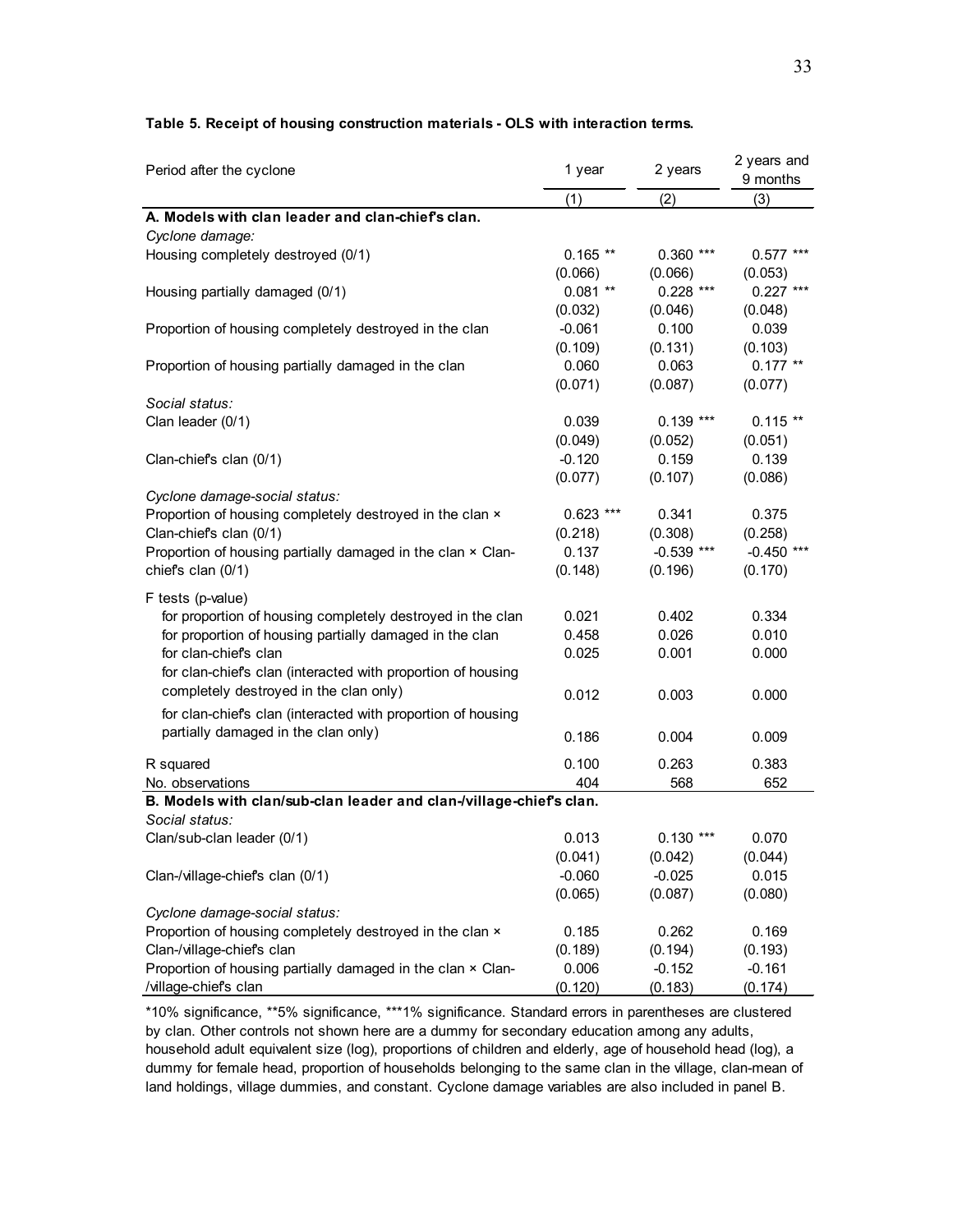| Period after the cyclone                                            | 1 year      | 2 years      | 2 years and<br>9 months |
|---------------------------------------------------------------------|-------------|--------------|-------------------------|
|                                                                     | (1)         | (2)          | (3)                     |
| A. Models with clan leader and clan-chief's clan.                   |             |              |                         |
| Cyclone damage:                                                     |             |              |                         |
| Housing completely destroyed (0/1)                                  | $0.165**$   | $0.360$ ***  | $0.577$ ***             |
|                                                                     | (0.066)     | (0.066)      | (0.053)                 |
| Housing partially damaged (0/1)                                     | $0.081**$   | $0.228$ ***  | $0.227$ ***             |
|                                                                     | (0.032)     | (0.046)      | (0.048)                 |
| Proportion of housing completely destroyed in the clan              | $-0.061$    | 0.100        | 0.039                   |
|                                                                     | (0.109)     | (0.131)      | (0.103)                 |
| Proportion of housing partially damaged in the clan                 | 0.060       | 0.063        | $0.177**$               |
|                                                                     | (0.071)     | (0.087)      | (0.077)                 |
| Social status:                                                      |             |              |                         |
| Clan leader (0/1)                                                   | 0.039       | $0.139***$   | $0.115**$               |
|                                                                     | (0.049)     | (0.052)      | (0.051)                 |
| Clan-chiefs clan (0/1)                                              | $-0.120$    | 0.159        | 0.139                   |
|                                                                     | (0.077)     | (0.107)      | (0.086)                 |
| Cyclone damage-social status:                                       |             |              |                         |
| Proportion of housing completely destroyed in the clan x            | $0.623$ *** | 0.341        | 0.375                   |
| Clan-chiefs clan (0/1)                                              | (0.218)     | (0.308)      | (0.258)                 |
| Proportion of housing partially damaged in the clan × Clan-         | 0.137       | $-0.539$ *** | $-0.450$ ***            |
| chief's clan (0/1)                                                  | (0.148)     | (0.196)      | (0.170)                 |
| F tests (p-value)                                                   |             |              |                         |
| for proportion of housing completely destroyed in the clan          | 0.021       | 0.402        | 0.334                   |
| for proportion of housing partially damaged in the clan             | 0.458       | 0.026        | 0.010                   |
| for clan-chief's clan                                               | 0.025       | 0.001        | 0.000                   |
| for clan-chief's clan (interacted with proportion of housing        |             |              |                         |
| completely destroyed in the clan only)                              |             |              |                         |
|                                                                     | 0.012       | 0.003        | 0.000                   |
| for clan-chief's clan (interacted with proportion of housing        |             |              |                         |
| partially damaged in the clan only)                                 | 0.186       | 0.004        | 0.009                   |
| R squared                                                           | 0.100       | 0.263        | 0.383                   |
| No. observations                                                    | 404         | 568          | 652                     |
| B. Models with clan/sub-clan leader and clan-/village-chief's clan. |             |              |                         |
| Social status:                                                      |             |              |                         |
| Clan/sub-clan leader (0/1)                                          | 0.013       | $0.130***$   | 0.070                   |
|                                                                     | (0.041)     | (0.042)      | (0.044)                 |
| Clan-/village-chiefs clan (0/1)                                     | $-0.060$    | $-0.025$     | 0.015                   |
|                                                                     | (0.065)     | (0.087)      | (0.080)                 |
| Cyclone damage-social status:                                       |             |              |                         |
| Proportion of housing completely destroyed in the clan x            | 0.185       | 0.262        | 0.169                   |
| Clan-/village-chief's clan                                          | (0.189)     | (0.194)      | (0.193)                 |
| Proportion of housing partially damaged in the clan × Clan-         | 0.006       | $-0.152$     | $-0.161$                |
| /village-chief's clan                                               | (0.120)     | (0.183)      | (0.174)                 |

#### **Table 5. Receipt of housing construction materials - OLS with interaction terms.**

\*10% significance, \*\*5% significance, \*\*\*1% significance. Standard errors in parentheses are clustered by clan. Other controls not shown here are a dummy for secondary education among any adults, household adult equivalent size (log), proportions of children and elderly, age of household head (log), a dummy for female head, proportion of households belonging to the same clan in the village, clan-mean of land holdings, village dummies, and constant. Cyclone damage variables are also included in panel B.